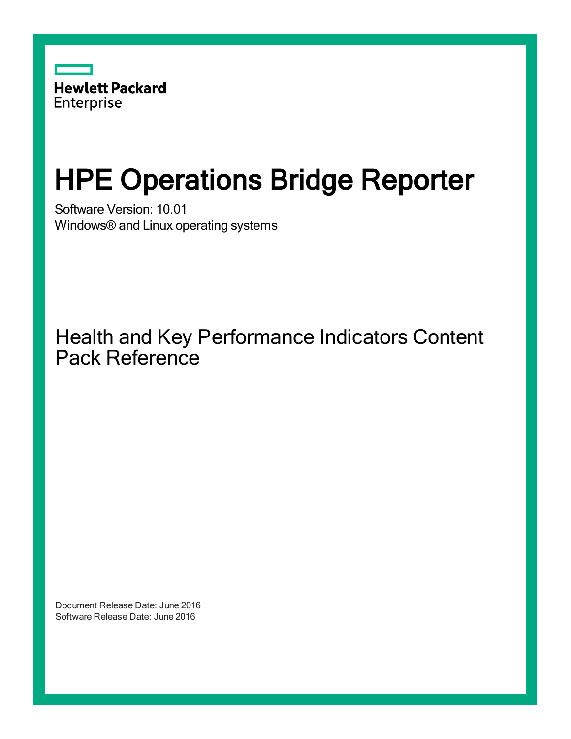

# HPE Operations Bridge Reporter

Software Version: 10.01 Windows® and Linux operating systems

Health and Key Performance Indicators Content Pack Reference

Document Release Date: June 2016 Software Release Date: June 2016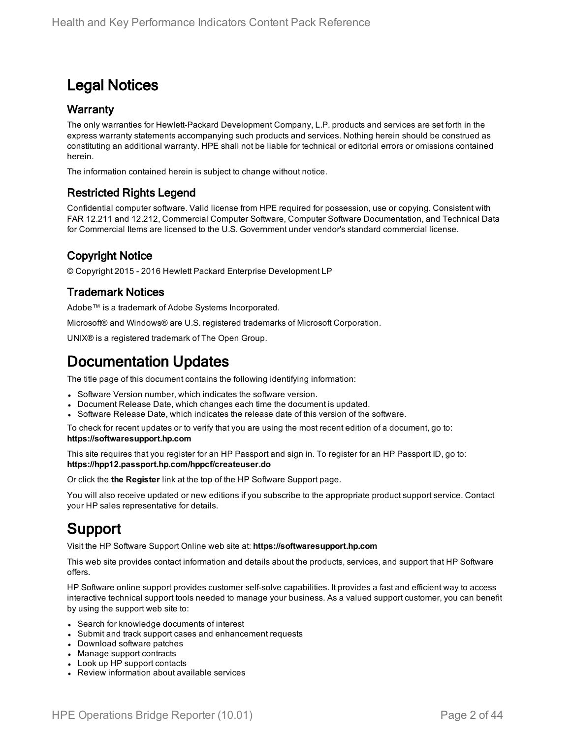### Legal Notices

#### **Warranty**

The only warranties for Hewlett-Packard Development Company, L.P. products and services are set forth in the express warranty statements accompanying such products and services. Nothing herein should be construed as constituting an additional warranty. HPE shall not be liable for technical or editorial errors or omissions contained herein.

The information contained herein is subject to change without notice.

#### Restricted Rights Legend

Confidential computer software. Valid license from HPE required for possession, use or copying. Consistent with FAR 12.211 and 12.212, Commercial Computer Software, Computer Software Documentation, and Technical Data for Commercial Items are licensed to the U.S. Government under vendor's standard commercial license.

#### Copyright Notice

© Copyright 2015 - 2016 Hewlett Packard Enterprise Development LP

#### Trademark Notices

Adobe™ is a trademark of Adobe Systems Incorporated.

Microsoft® and Windows® are U.S. registered trademarks of Microsoft Corporation.

UNIX® is a registered trademark of The Open Group.

### Documentation Updates

The title page of this document contains the following identifying information:

- Software Version number, which indicates the software version.
- Document Release Date, which changes each time the document is updated.
- Software Release Date, which indicates the release date of this version of the software.

To check for recent updates or to verify that you are using the most recent edition of a document, go to: **https://softwaresupport.hp.com**

This site requires that you register for an HP Passport and sign in. To register for an HP Passport ID, go to: **https://hpp12.passport.hp.com/hppcf/createuser.do**

Or click the **the Register** link at the top of the HP Software Support page.

You will also receive updated or new editions if you subscribe to the appropriate product support service. Contact your HP sales representative for details.

### Support

Visit the HP Software Support Online web site at: **https://softwaresupport.hp.com**

This web site provides contact information and details about the products, services, and support that HP Software offers.

HP Software online support provides customer self-solve capabilities. It provides a fast and efficient way to access interactive technical support tools needed to manage your business. As a valued support customer, you can benefit by using the support web site to:

- Search for knowledge documents of interest
- Submit and track support cases and enhancement requests
- Download software patches
- Manage support contracts
- Look up HP support contacts
- Review information about available services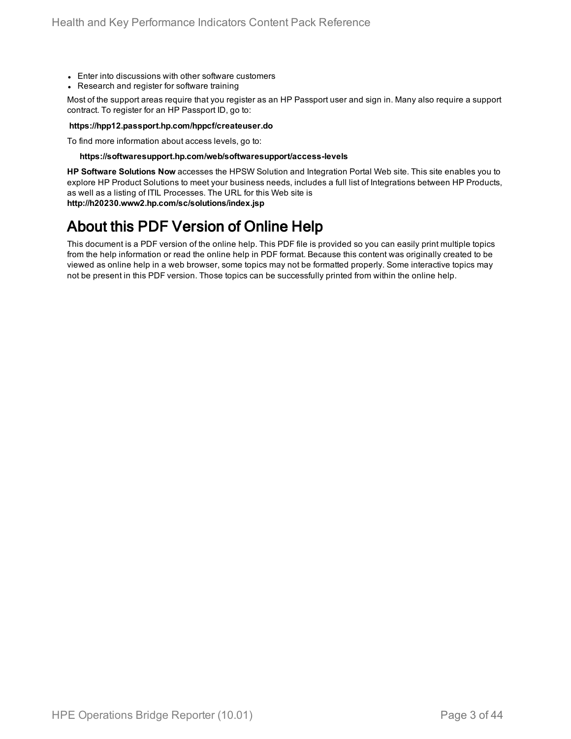- Enter into discussions with other software customers
- Research and register for software training

Most of the support areas require that you register as an HP Passport user and sign in. Many also require a support contract. To register for an HP Passport ID, go to:

#### **https://hpp12.passport.hp.com/hppcf/createuser.do**

To find more information about access levels, go to:

#### **https://softwaresupport.hp.com/web/softwaresupport/access-levels**

**HP Software Solutions Now** accesses the HPSW Solution and Integration Portal Web site. This site enables you to explore HP Product Solutions to meet your business needs, includes a full list of Integrations between HP Products, as well as a listing of ITIL Processes. The URL for this Web site is **http://h20230.www2.hp.com/sc/solutions/index.jsp**

### About this PDF Version of Online Help

This document is a PDF version of the online help. This PDF file is provided so you can easily print multiple topics from the help information or read the online help in PDF format. Because this content was originally created to be viewed as online help in a web browser, some topics may not be formatted properly. Some interactive topics may not be present in this PDF version. Those topics can be successfully printed from within the online help.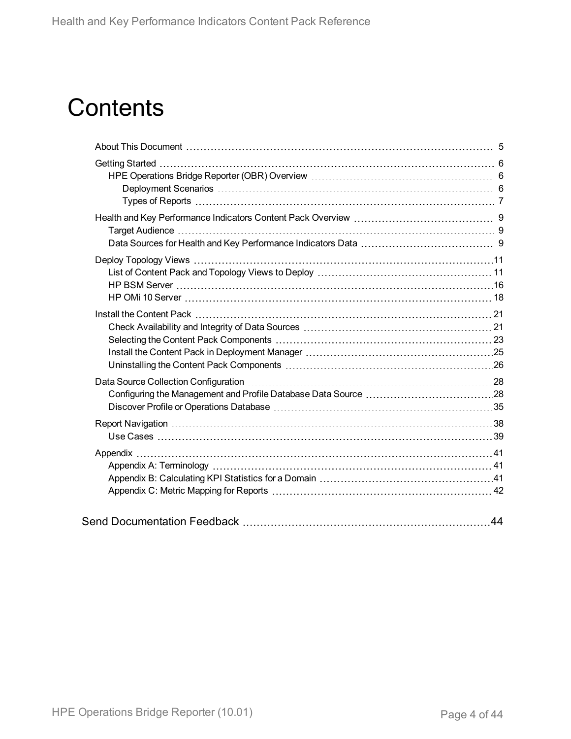# **Contents**

|  | 44 |
|--|----|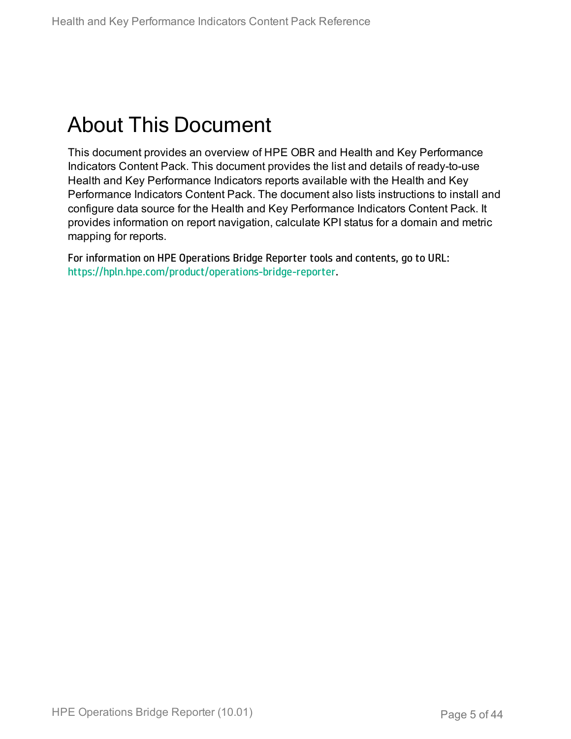## <span id="page-4-0"></span>About This Document

This document provides an overview of HPE OBR and Health and Key Performance Indicators Content Pack. This document provides the list and details of ready-to-use Health and Key Performance Indicators reports available with the Health and Key Performance Indicators Content Pack. The document also lists instructions to install and configure data source for the Health and Key Performance Indicators Content Pack. It provides information on report navigation, calculate KPI status for a domain and metric mapping for reports.

For information on HPE Operations Bridge Reporter tools and contents, go to URL: <https://hpln.hpe.com/product/operations-bridge-reporter>.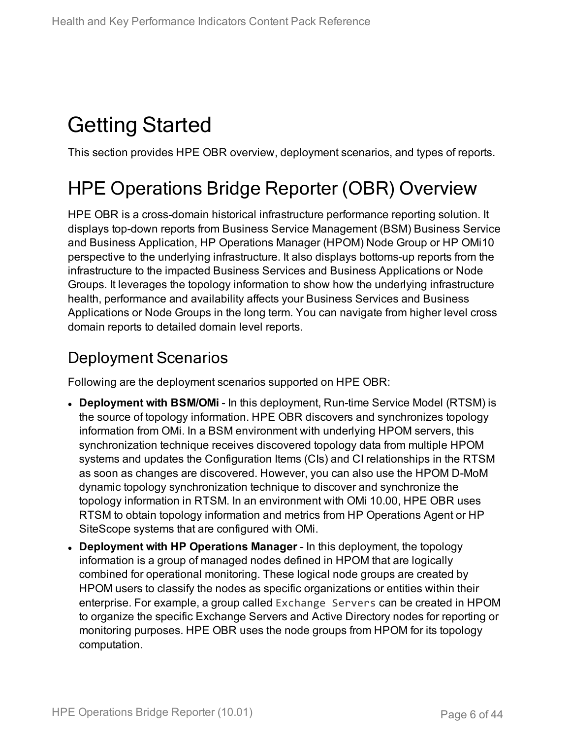# <span id="page-5-0"></span>Getting Started

<span id="page-5-1"></span>This section provides HPE OBR overview, deployment scenarios, and types of reports.

## HPE Operations Bridge Reporter (OBR) Overview

HPE OBR is a cross-domain historical infrastructure performance reporting solution. It displays top-down reports from Business Service Management (BSM) Business Service and Business Application, HP Operations Manager (HPOM) Node Group or HP OMi10 perspective to the underlying infrastructure. It also displays bottoms-up reports from the infrastructure to the impacted Business Services and Business Applications or Node Groups. It leverages the topology information to show how the underlying infrastructure health, performance and availability affects your Business Services and Business Applications or Node Groups in the long term. You can navigate from higher level cross domain reports to detailed domain level reports.

### <span id="page-5-2"></span>Deployment Scenarios

Following are the deployment scenarios supported on HPE OBR:

- **Deployment with BSM/OMi** In this deployment, Run-time Service Model (RTSM) is the source of topology information. HPE OBR discovers and synchronizes topology information from OMi. In a BSM environment with underlying HPOM servers, this synchronization technique receives discovered topology data from multiple HPOM systems and updates the Configuration Items (CIs) and CI relationships in the RTSM as soon as changes are discovered. However, you can also use the HPOM D-MoM dynamic topology synchronization technique to discover and synchronize the topology information in RTSM. In an environment with OMi 10.00, HPE OBR uses RTSM to obtain topology information and metrics from HP Operations Agent or HP SiteScope systems that are configured with OMi.
- <sup>l</sup> **Deployment with HP Operations Manager** In this deployment, the topology information is a group of managed nodes defined in HPOM that are logically combined for operational monitoring. These logical node groups are created by HPOM users to classify the nodes as specific organizations or entities within their enterprise. For example, a group called Exchange Servers can be created in HPOM to organize the specific Exchange Servers and Active Directory nodes for reporting or monitoring purposes. HPE OBR uses the node groups from HPOM for its topology computation.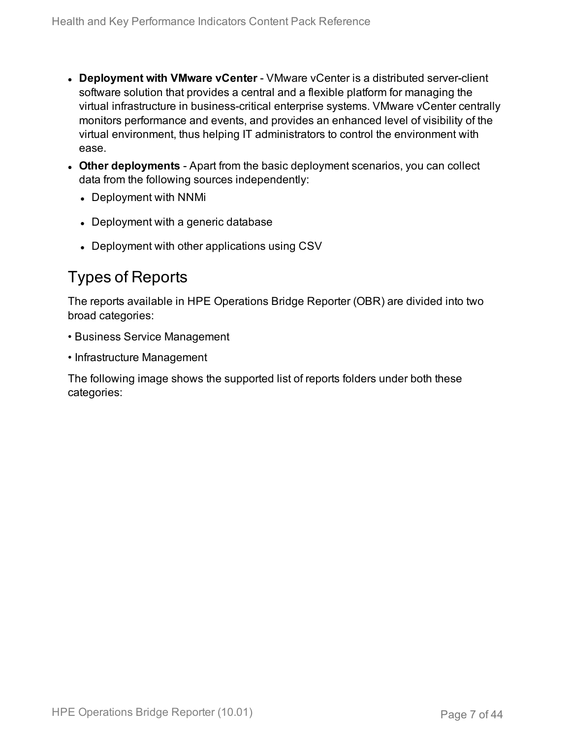- **.** Deployment with VMware vCenter VMware vCenter is a distributed server-client software solution that provides a central and a flexible platform for managing the virtual infrastructure in business-critical enterprise systems. VMware vCenter centrally monitors performance and events, and provides an enhanced level of visibility of the virtual environment, thus helping IT administrators to control the environment with ease.
- **Other deployments** Apart from the basic deployment scenarios, you can collect data from the following sources independently:
	- Deployment with NNMi
	- Deployment with a generic database
	- Deployment with other applications using CSV

### <span id="page-6-0"></span>Types of Reports

The reports available in HPE Operations Bridge Reporter (OBR) are divided into two broad categories:

- Business Service Management
- Infrastructure Management

The following image shows the supported list of reports folders under both these categories: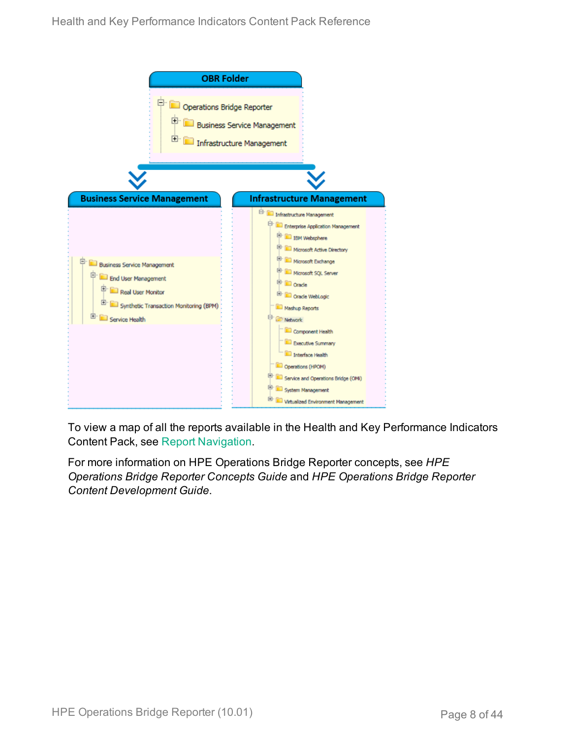

To view a map of all the reports available in the Health and Key Performance Indicators Content Pack, see Report [Navigation](#page-37-0).

For more information on HPE Operations Bridge Reporter concepts, see *HPE Operations Bridge Reporter Concepts Guide* and *HPE Operations Bridge Reporter Content Development Guide*.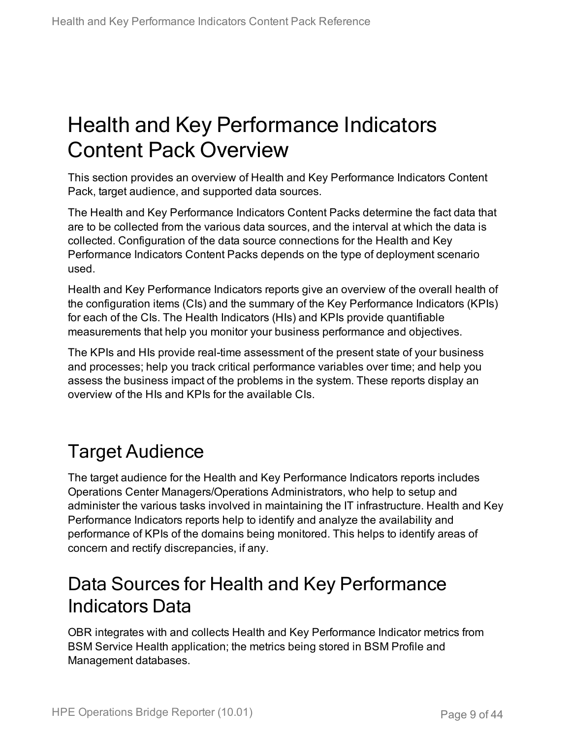## <span id="page-8-0"></span>Health and Key Performance Indicators Content Pack Overview

This section provides an overview of Health and Key Performance Indicators Content Pack, target audience, and supported data sources.

The Health and Key Performance Indicators Content Packs determine the fact data that are to be collected from the various data sources, and the interval at which the data is collected. Configuration of the data source connections for the Health and Key Performance Indicators Content Packs depends on the type of deployment scenario used.

Health and Key Performance Indicators reports give an overview of the overall health of the configuration items (CIs) and the summary of the Key Performance Indicators (KPIs) for each of the CIs. The Health Indicators (HIs) and KPIs provide quantifiable measurements that help you monitor your business performance and objectives.

The KPIs and HIs provide real-time assessment of the present state of your business and processes; help you track critical performance variables over time; and help you assess the business impact of the problems in the system. These reports display an overview of the HIs and KPIs for the available CIs.

## <span id="page-8-1"></span>Target Audience

The target audience for the Health and Key Performance Indicators reports includes Operations Center Managers/Operations Administrators, who help to setup and administer the various tasks involved in maintaining the IT infrastructure. Health and Key Performance Indicators reports help to identify and analyze the availability and performance of KPIs of the domains being monitored. This helps to identify areas of concern and rectify discrepancies, if any.

### <span id="page-8-2"></span>Data Sources for Health and Key Performance Indicators Data

OBR integrates with and collects Health and Key Performance Indicator metrics from BSM Service Health application; the metrics being stored in BSM Profile and Management databases.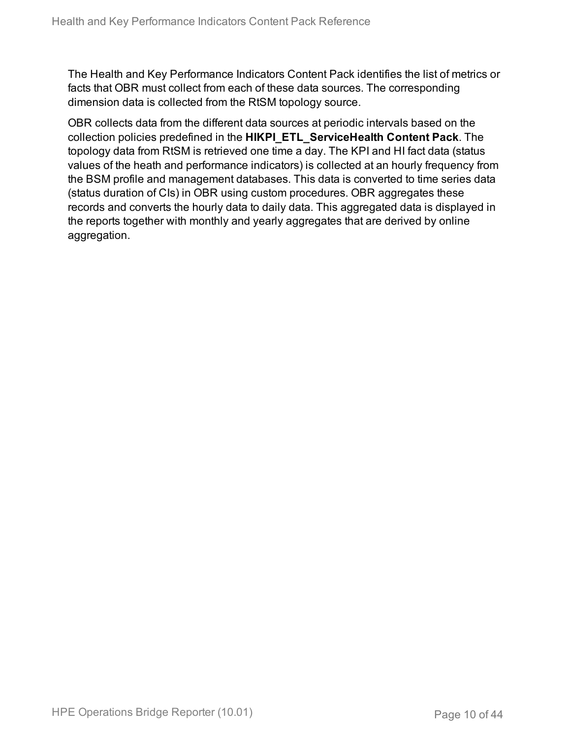The Health and Key Performance Indicators Content Pack identifies the list of metrics or facts that OBR must collect from each of these data sources. The corresponding dimension data is collected from the RtSM topology source.

OBR collects data from the different data sources at periodic intervals based on the collection policies predefined in the **HIKPI\_ETL\_ServiceHealth Content Pack**. The topology data from RtSM is retrieved one time a day. The KPI and HI fact data (status values of the heath and performance indicators) is collected at an hourly frequency from the BSM profile and management databases. This data is converted to time series data (status duration of CIs) in OBR using custom procedures. OBR aggregates these records and converts the hourly data to daily data. This aggregated data is displayed in the reports together with monthly and yearly aggregates that are derived by online aggregation.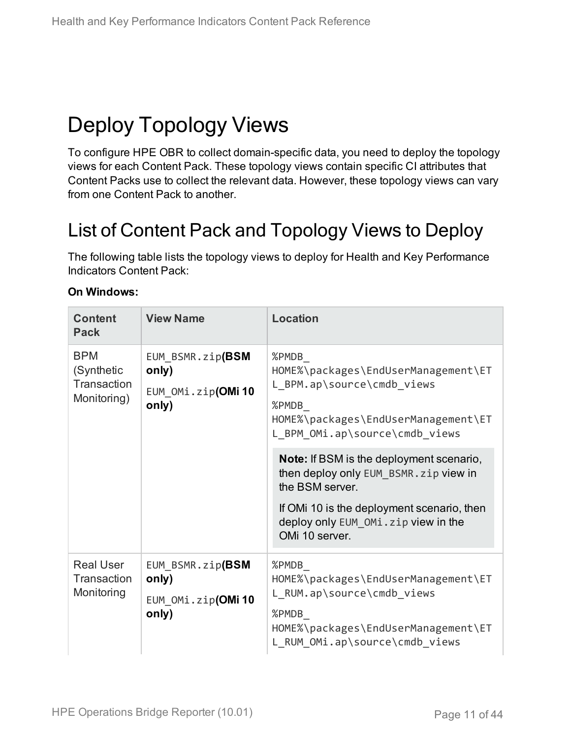# <span id="page-10-0"></span>Deploy Topology Views

To configure HPE OBR to collect domain-specific data, you need to deploy the topology views for each Content Pack. These topology views contain specific CI attributes that Content Packs use to collect the relevant data. However, these topology views can vary from one Content Pack to another.

## <span id="page-10-1"></span>List of Content Pack and Topology Views to Deploy

The following table lists the topology views to deploy for Health and Key Performance Indicators Content Pack:

| <b>Content</b><br><b>Pack</b>                          | <b>View Name</b>                                        | <b>Location</b>                                                                                                                                                                                                     |
|--------------------------------------------------------|---------------------------------------------------------|---------------------------------------------------------------------------------------------------------------------------------------------------------------------------------------------------------------------|
| <b>BPM</b><br>(Synthetic<br>Transaction<br>Monitoring) | EUM_BSMR.zip(BSM<br>only)<br>EUM_OMi.zip(OMi10<br>only) | %PMDB<br>HOME%\packages\EndUserManagement\ET<br>L_BPM.ap\source\cmdb_views<br>%PMDB<br>HOME%\packages\EndUserManagement\ET<br>L_BPM_OMi.ap\source\cmdb_views                                                        |
|                                                        |                                                         | <b>Note:</b> If BSM is the deployment scenario,<br>then deploy only EUM BSMR. zip view in<br>the BSM server.<br>If OMI 10 is the deployment scenario, then<br>deploy only EUM OMi.zip view in the<br>OMi 10 server. |
| <b>Real User</b><br>Transaction<br>Monitoring          | EUM BSMR.zip(BSM<br>only)<br>EUM OMi.zip(OMi10<br>only) | %PMDB<br>HOME%\packages\EndUserManagement\ET<br>L_RUM.ap\source\cmdb_views<br>%PMDB<br>HOME%\packages\EndUserManagement\ET<br>L_RUM_OMi.ap\source\cmdb_views                                                        |

#### **On Windows:**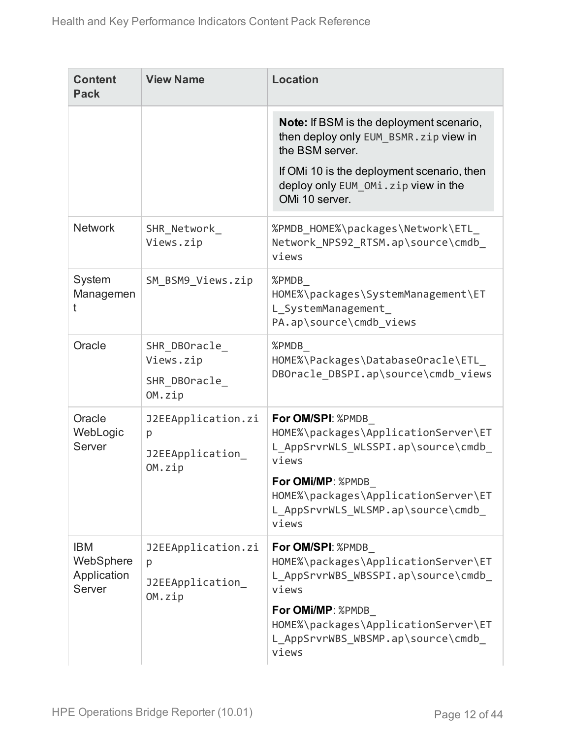| <b>Content</b><br><b>Pack</b>                    | <b>View Name</b>                                     | <b>Location</b>                                                                                                                                                                                                    |
|--------------------------------------------------|------------------------------------------------------|--------------------------------------------------------------------------------------------------------------------------------------------------------------------------------------------------------------------|
|                                                  |                                                      | Note: If BSM is the deployment scenario,<br>then deploy only EUM BSMR. zip view in<br>the BSM server.<br>If OMi 10 is the deployment scenario, then<br>deploy only EUM_OMi.zip view in the<br>OMi 10 server.       |
| <b>Network</b>                                   | SHR_Network_<br>Views.zip                            | %PMDB_HOME%\packages\Network\ETL_<br>Network NPS92 RTSM.ap\source\cmdb<br>views                                                                                                                                    |
| System<br>Managemen<br>t                         | SM BSM9 Views.zip                                    | %PMDB<br>HOME%\packages\SystemManagement\ET<br>L SystemManagement<br>PA.ap\source\cmdb_views                                                                                                                       |
| Oracle                                           | SHR DBOracle<br>Views.zip<br>SHR DBOracle<br>OM.zip  | %PMDB<br>HOME%\Packages\DatabaseOracle\ETL<br>DBOracle DBSPI.ap\source\cmdb views                                                                                                                                  |
| Oracle<br>WebLogic<br>Server                     | J2EEApplication.zi<br>p<br>J2EEApplication<br>OM.zip | For OM/SPI: %PMDB<br>HOME%\packages\ApplicationServer\ET<br>L AppSrvrWLS WLSSPI.ap\source\cmdb<br>views<br>For OMi/MP: %PMDB<br>HOME%\packages\ApplicationServer\ET<br>L_AppSrvrWLS_WLSMP.ap\source\cmdb_<br>views |
| <b>IBM</b><br>WebSphere<br>Application<br>Server | J2EEApplication.zi<br>p<br>J2EEApplication<br>OM.zip | For OM/SPI: %PMDB<br>HOME%\packages\ApplicationServer\ET<br>L AppSrvrWBS WBSSPI.ap\source\cmdb<br>views<br>For OMi/MP: %PMDB<br>HOME%\packages\ApplicationServer\ET<br>L AppSrvrWBS WBSMP.ap\source\cmdb<br>views  |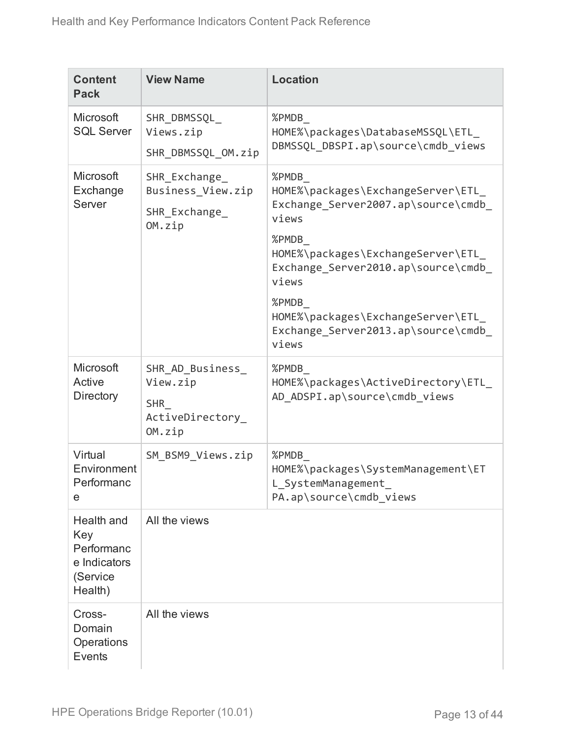| <b>Content</b><br><b>Pack</b>                                          | <b>View Name</b>                                                         | <b>Location</b>                                                                                                                                                                                                                                                                        |
|------------------------------------------------------------------------|--------------------------------------------------------------------------|----------------------------------------------------------------------------------------------------------------------------------------------------------------------------------------------------------------------------------------------------------------------------------------|
| Microsoft<br><b>SQL Server</b>                                         | SHR DBMSSQL<br>Views.zip<br>SHR DBMSSQL OM.zip                           | %PMDB<br>HOME%\packages\DatabaseMSSQL\ETL_<br>DBMSSQL_DBSPI.ap\source\cmdb_views                                                                                                                                                                                                       |
| Microsoft<br>Exchange<br>Server                                        | SHR Exchange<br>Business View.zip<br>SHR_Exchange_<br>OM.zip             | %PMDB<br>HOME%\packages\ExchangeServer\ETL_<br>Exchange Server2007.ap\source\cmdb<br>views<br>%PMDB<br>HOME%\packages\ExchangeServer\ETL<br>Exchange_Server2010.ap\source\cmdb_<br>views<br>%PMDB<br>HOME%\packages\ExchangeServer\ETL_<br>Exchange Server2013.ap\source\cmdb<br>views |
| Microsoft<br>Active<br><b>Directory</b>                                | SHR_AD_Business_<br>View.zip<br><b>SHR</b><br>ActiveDirectory_<br>OM.zip | %PMDB<br>HOME%\packages\ActiveDirectory\ETL_<br>AD ADSPI.ap\source\cmdb views                                                                                                                                                                                                          |
| Virtual<br>Environment<br>Performanc<br>e                              | SM_BSM9_Views.zip                                                        | %PMDB<br>HOME%\packages\SystemManagement\ET<br>L_SystemManagement_<br>PA.ap\source\cmdb_views                                                                                                                                                                                          |
| Health and<br>Key<br>Performanc<br>e Indicators<br>(Service<br>Health) | All the views                                                            |                                                                                                                                                                                                                                                                                        |
| Cross-<br>Domain<br>Operations<br>Events                               | All the views                                                            |                                                                                                                                                                                                                                                                                        |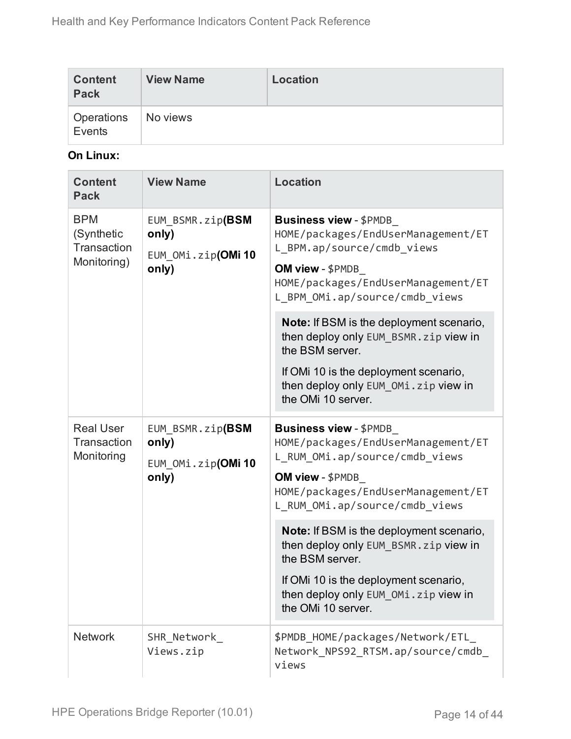| <b>Content</b><br><b>Pack</b> | <b>View Name</b> | Location |
|-------------------------------|------------------|----------|
| Operations<br>Events          | No views         |          |

#### **On Linux:**

| <b>Content</b><br><b>Pack</b>                          | <b>View Name</b>                                        | <b>Location</b>                                                                                                                                                                                                                                                                                                                                                                                                  |
|--------------------------------------------------------|---------------------------------------------------------|------------------------------------------------------------------------------------------------------------------------------------------------------------------------------------------------------------------------------------------------------------------------------------------------------------------------------------------------------------------------------------------------------------------|
| <b>BPM</b><br>(Synthetic<br>Transaction<br>Monitoring) | EUM BSMR.zip(BSM<br>only)<br>EUM OMi.zip(OMi10<br>only) | <b>Business view - \$PMDB</b><br>HOME/packages/EndUserManagement/ET<br>L BPM.ap/source/cmdb views<br>OM view - \$PMDB<br>HOME/packages/EndUserManagement/ET<br>L BPM OMi.ap/source/cmdb views<br>Note: If BSM is the deployment scenario,<br>then deploy only EUM_BSMR.zip view in<br>the BSM server.<br>If OMi 10 is the deployment scenario,<br>then deploy only EUM_OMi.zip view in<br>the OMi 10 server.     |
| <b>Real User</b><br>Transaction<br>Monitoring          | EUM_BSMR.zip(BSM<br>only)<br>EUM OMi.zip(OMi10<br>only) | <b>Business view - \$PMDB</b><br>HOME/packages/EndUserManagement/ET<br>L RUM OMi.ap/source/cmdb views<br>OM view - \$PMDB<br>HOME/packages/EndUserManagement/ET<br>L_RUM_OMi.ap/source/cmdb_views<br>Note: If BSM is the deployment scenario,<br>then deploy only EUM_BSMR.zip view in<br>the BSM server.<br>If OMi 10 is the deployment scenario,<br>then deploy only EUM_OMi.zip view in<br>the OMi 10 server. |
| <b>Network</b>                                         | SHR_Network_<br>Views.zip                               | \$PMDB HOME/packages/Network/ETL<br>Network_NPS92_RTSM.ap/source/cmdb_<br>views                                                                                                                                                                                                                                                                                                                                  |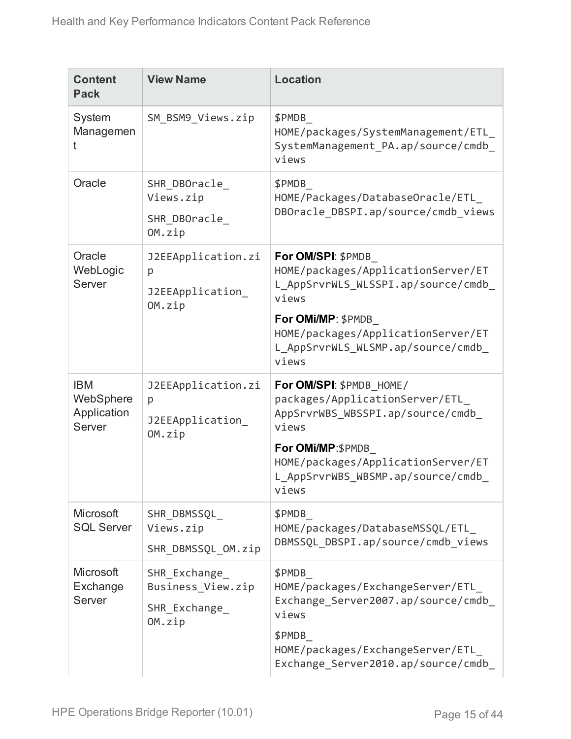| <b>Content</b><br><b>Pack</b>                    | <b>View Name</b>                                            | <b>Location</b>                                                                                                                                                                                                     |  |
|--------------------------------------------------|-------------------------------------------------------------|---------------------------------------------------------------------------------------------------------------------------------------------------------------------------------------------------------------------|--|
| System<br>Managemen<br>t                         | SM_BSM9_Views.zip                                           | \$PMDB<br>HOME/packages/SystemManagement/ETL<br>SystemManagement_PA.ap/source/cmdb_<br>views                                                                                                                        |  |
| Oracle                                           | SHR DBOracle<br>Views.zip<br>SHR_DBOracle_<br>OM.zip        | \$PMDB<br>HOME/Packages/DatabaseOracle/ETL<br>DBOracle_DBSPI.ap/source/cmdb_views                                                                                                                                   |  |
| Oracle<br>WebLogic<br>Server                     | J2EEApplication.zi<br>p<br>J2EEApplication_<br>OM.zip       | For OM/SPI: \$PMDB<br>HOME/packages/ApplicationServer/ET<br>L_AppSrvrWLS_WLSSPI.ap/source/cmdb_<br>views<br>For OMi/MP: \$PMDB<br>HOME/packages/ApplicationServer/ET<br>L_AppSrvrWLS_WLSMP.ap/source/cmdb_<br>views |  |
| <b>IBM</b><br>WebSphere<br>Application<br>Server | J2EEApplication.zi<br>p<br>J2EEApplication_<br>OM.zip       | For OM/SPI: \$PMDB HOME/<br>packages/ApplicationServer/ETL_<br>AppSrvrWBS_WBSSPI.ap/source/cmdb_<br>views<br>For OMi/MP:\$PMDB_<br>HOME/packages/ApplicationServer/ET<br>L AppSrvrWBS WBSMP.ap/source/cmdb<br>views |  |
| Microsoft<br><b>SQL Server</b>                   | SHR DBMSSQL<br>Views.zip<br>SHR_DBMSSQL_OM.zip              | \$PMDB<br>HOME/packages/DatabaseMSSQL/ETL<br>DBMSSQL DBSPI.ap/source/cmdb views                                                                                                                                     |  |
| Microsoft<br>Exchange<br>Server                  | SHR Exchange<br>Business_View.zip<br>SHR Exchange<br>OM.zip | \$PMDB<br>HOME/packages/ExchangeServer/ETL<br>Exchange_Server2007.ap/source/cmdb_<br>views<br>\$PMDB<br>HOME/packages/ExchangeServer/ETL<br>Exchange Server2010.ap/source/cmdb                                      |  |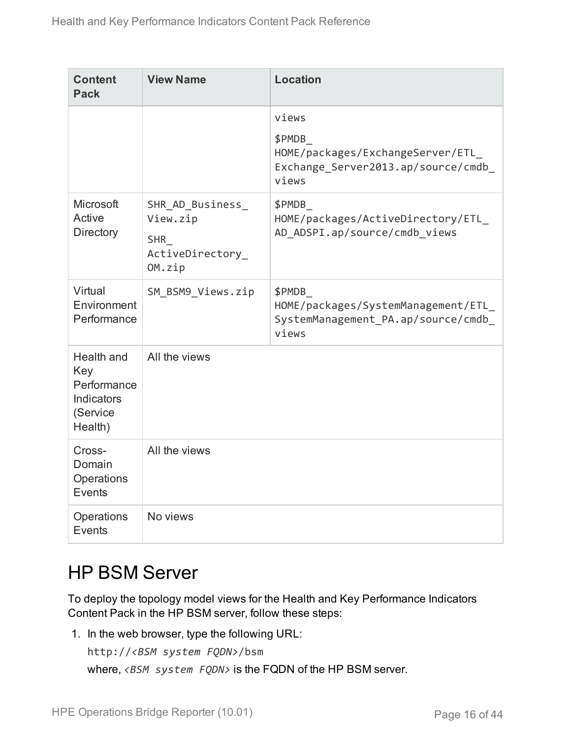| <b>Content</b><br><b>Pack</b>                                         | <b>View Name</b>                                                         | <b>Location</b>                                                                              |
|-----------------------------------------------------------------------|--------------------------------------------------------------------------|----------------------------------------------------------------------------------------------|
|                                                                       |                                                                          | views                                                                                        |
|                                                                       |                                                                          | \$PMDB<br>HOME/packages/ExchangeServer/ETL<br>Exchange_Server2013.ap/source/cmdb_<br>views   |
| Microsoft<br>Active<br>Directory                                      | SHR_AD_Business_<br>View.zip<br><b>SHR</b><br>ActiveDirectory_<br>OM.zip | \$PMDB<br>HOME/packages/ActiveDirectory/ETL<br>AD ADSPI.ap/source/cmdb views                 |
| Virtual<br>Environment<br>Performance                                 | SM BSM9 Views.zip                                                        | \$PMDB<br>HOME/packages/SystemManagement/ETL<br>SystemManagement_PA.ap/source/cmdb_<br>views |
| Health and<br>Key<br>Performance<br>Indicators<br>(Service<br>Health) | All the views                                                            |                                                                                              |
| Cross-<br>Domain<br>Operations<br>Events                              | All the views                                                            |                                                                                              |
| Operations<br>Events                                                  | No views                                                                 |                                                                                              |

### <span id="page-15-0"></span>HP BSM Server

To deploy the topology model views for the Health and Key Performance Indicators Content Pack in the HP BSM server, follow these steps:

1. In the web browser, type the following URL:

```
http://<BSM system FQDN>/bsm
where, <BSM system FQDN> is the FQDN of the HP BSM server.
```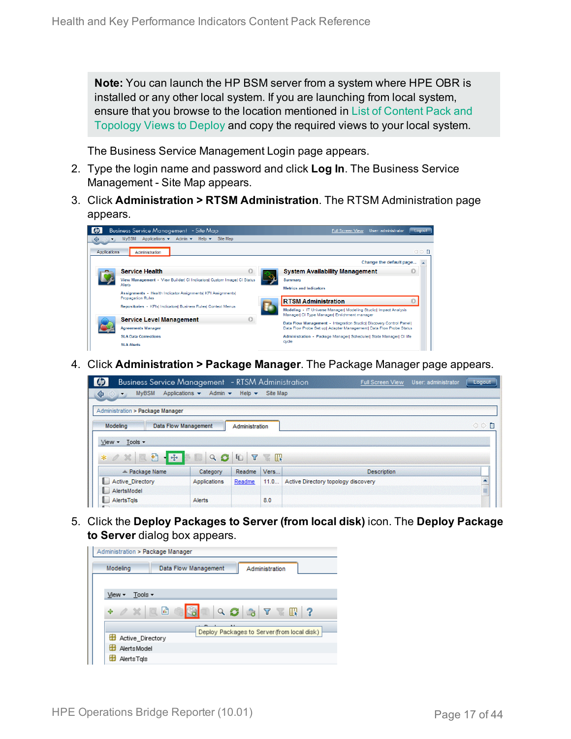**Note:** You can launch the HP BSM server from a system where HPE OBR is installed or any other local system. If you are launching from local system, ensure that you browse to the location mentioned in List of [Content](#page-10-1) Pack and [Topology](#page-10-1) Views to Deploy and copy the required views to your local system.

The Business Service Management Login page appears.

- 2. Type the login name and password and click **Log In**. The Business Service Management - Site Map appears.
- 3. Click **Administration > RTSM Administration**. The RTSM Administration page appears.

| ⇔            | <b>Business Service Management</b> - Site Map<br>Applications $\star$ Admin $\star$ Help $\star$<br>Site Map<br><b>MVBSM</b> | User: administrator<br><b>Full Screen View</b><br>Logout                                                         |
|--------------|------------------------------------------------------------------------------------------------------------------------------|------------------------------------------------------------------------------------------------------------------|
| Applications | Administration                                                                                                               | O D F                                                                                                            |
|              |                                                                                                                              | Change the default page                                                                                          |
|              | <b>Service Health</b>                                                                                                        | <b>System Availability Management</b>                                                                            |
|              | View Management - View Builder  CI Indicators  Custom Image  CI Status<br>Alerts                                             | Summary<br><b>Metrics and Indicators</b>                                                                         |
|              | Assignments - Health Indicator Assignments  KPI Assignments <br><b>Propagation Rules</b>                                     | <b>RTSM Administration</b>                                                                                       |
|              | Repositories - KPIsl IndicatorsI Business RulesI Context Menus                                                               | Modeling - IT Universe Manager  Modeling Studio  Impact Analysis<br>Manager  CI Type Manager  Enrichment manager |
|              | <b>Service Level Management</b>                                                                                              | Data Flow Management - Integration Studiol Discovery Control Panell                                              |
|              | <b>Agreements Manager</b>                                                                                                    | Data Flow Probe Set up  Adapter Management  Data Flow Probe Status                                               |
|              | <b>SLA Data Corrections</b>                                                                                                  | Administration - Package Manager  Scheduler  State Manager  CI life                                              |
|              | <b>SLA Alerts</b>                                                                                                            | ovde                                                                                                             |

4. Click **Administration > Package Manager**. The Package Manager page appears.

| <b>Business Service Management</b> - RTSM Administration                           |                                                    |                           |          | <b>Full Screen View</b>             | User: administrator | Logout |
|------------------------------------------------------------------------------------|----------------------------------------------------|---------------------------|----------|-------------------------------------|---------------------|--------|
| <b>MVBSM</b><br>♦<br>$\left\langle \left\langle \cdot \right\rangle \right\rangle$ | Applications $\blacktriangledown$<br>Admin $\star$ | Help $\blacktriangledown$ | Site Map |                                     |                     |        |
| Administration > Package Manager                                                   |                                                    |                           |          |                                     |                     |        |
| Modeling                                                                           | Data Flow Management                               | Administration            |          |                                     |                     | ○○■    |
| Tools -<br>$View -$                                                                |                                                    |                           |          |                                     |                     |        |
| 日<br>$-1.456$<br>$*$ $\alpha$ $\times$<br>國                                        | Q                                                  | G<br>Y                    | KI       |                                     |                     |        |
| $\angle$ Package Name                                                              | Category                                           | Readme                    | Vers     | <b>Description</b>                  |                     |        |
| <b>Active Directory</b>                                                            | Applications                                       | Readme                    | 11.0     | Active Directory topology discovery |                     |        |
| AlertsModel                                                                        |                                                    |                           |          |                                     |                     | ≣      |
| AlertsTals<br>۱.                                                                   | Alerts                                             |                           | 8.0      |                                     |                     |        |
|                                                                                    |                                                    |                           |          |                                     |                     |        |

5. Click the **Deploy Packages to Server (from local disk)** icon. The **Deploy Package to Server** dialog box appears.

| Administration > Package Manager |                      |                                                    |  |
|----------------------------------|----------------------|----------------------------------------------------|--|
| Modeling                         | Data Flow Management | Administration                                     |  |
|                                  |                      |                                                    |  |
| Tools $\sim$<br>View -           |                      |                                                    |  |
| $0\%$<br>÷                       | 崎<br>$\sqrt{a}$      | Q<br>$\mathbf{a} \mathbf{v} \mathbf{w}$ ?          |  |
|                                  |                      | 8.8<br>Deploy Packages to Server (from local disk) |  |
| Active Directory                 |                      |                                                    |  |
| <b>Alerts Model</b>              |                      |                                                    |  |
| H<br>AlertsTals                  |                      |                                                    |  |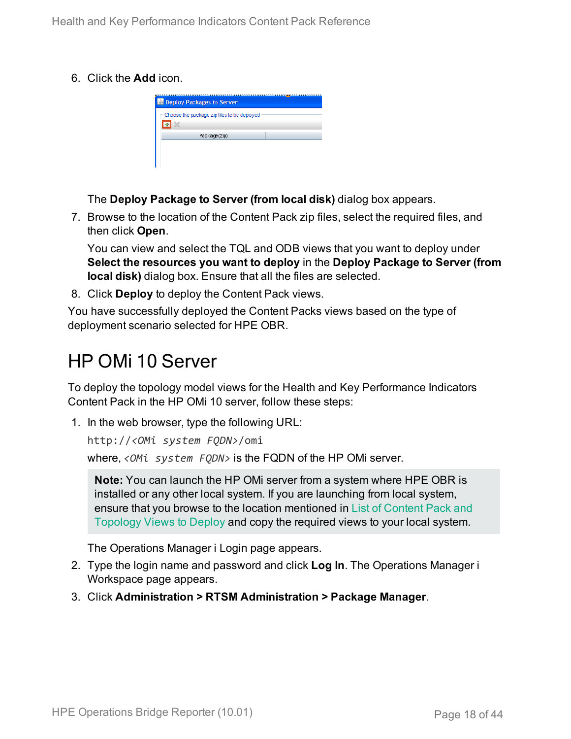6. Click the **Add** icon.

|  | <b>Deploy Packages to Server</b><br>Choose the package zip files to be deployed<br>Package(zip) |
|--|-------------------------------------------------------------------------------------------------|

The **Deploy Package to Server (from local disk)** dialog box appears.

7. Browse to the location of the Content Pack zip files, select the required files, and then click **Open**.

You can view and select the TQL and ODB views that you want to deploy under **Select the resources you want to deploy** in the **Deploy Package to Server (from local disk)** dialog box. Ensure that all the files are selected.

8. Click **Deploy** to deploy the Content Pack views.

You have successfully deployed the Content Packs views based on the type of deployment scenario selected for HPE OBR.

### <span id="page-17-0"></span>HP OMi 10 Server

To deploy the topology model views for the Health and Key Performance Indicators Content Pack in the HP OMi 10 server, follow these steps:

1. In the web browser, type the following URL:

```
http://<OMi system FQDN>/omi
```
where, *<OMi system FQDN>* is the FQDN of the HP OMi server.

**Note:** You can launch the HP OMi server from a system where HPE OBR is installed or any other local system. If you are launching from local system, ensure that you browse to the location mentioned in List of [Content](#page-10-1) Pack and [Topology](#page-10-1) Views to Deploy and copy the required views to your local system.

The Operations Manager i Login page appears.

- 2. Type the login name and password and click **Log In**. The Operations Manager i Workspace page appears.
- 3. Click **Administration > RTSM Administration > Package Manager**.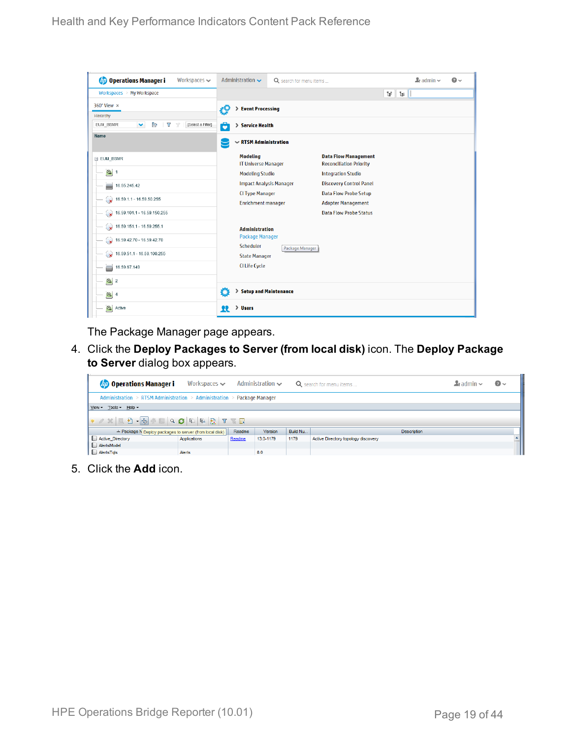| <b>Operations Manager i</b><br>Workspaces $\smile$                      | Administration $\sim$                         | Q search for menu items |                                                               | $\mathbf{L}$ admin $\sim$ | $\bullet$ |
|-------------------------------------------------------------------------|-----------------------------------------------|-------------------------|---------------------------------------------------------------|---------------------------|-----------|
| Workspaces > My Workspace                                               |                                               |                         |                                                               | Ħ.<br>Tel.                |           |
| 360° View x                                                             | > Event Processing<br>ł9                      |                         |                                                               |                           |           |
| Hierarchy                                                               |                                               |                         |                                                               |                           |           |
| È<br>EUM_BSMR<br>v<br>Y<br>[Select a Filter]<br>$\overline{\mathbb{Y}}$ | ô<br>> Service Health                         |                         |                                                               |                           |           |
| Name                                                                    | $\sim$ RTSM Administration                    |                         |                                                               |                           |           |
| E EUM_BSMR                                                              | <b>Modeling</b><br><b>IT Universe Manager</b> |                         | <b>Data Flow Management</b><br><b>Reconciliation Priority</b> |                           |           |
| $\bigcirc$ 1                                                            | <b>Modeling Studio</b>                        |                         | <b>Integration Studio</b>                                     |                           |           |
| 16.55.245.42<br>▄                                                       | <b>Impact Analysis Manager</b>                |                         | <b>Discovery Control Panel</b>                                |                           |           |
| $\sqrt{16.59.1.1 - 16.59.50.255}$                                       | <b>CI Type Manager</b>                        |                         | <b>Data Flow Probe Setup</b>                                  |                           |           |
|                                                                         | <b>Enrichment manager</b>                     |                         | <b>Adapter Management</b>                                     |                           |           |
| $\bigotimes$ 16.59.101.1 - 16.59.150.255                                |                                               |                         | <b>Data Flow Probe Status</b>                                 |                           |           |
| $\bigotimes$ 16.59.151.1 - 16.59.255.1                                  | <b>Administration</b>                         |                         |                                                               |                           |           |
| $\bigotimes$ 16.59.42.70 - 16.59.42.70                                  | <b>Package Manager</b><br>Scheduler           | Package Manager         |                                                               |                           |           |
| $\bigotimes$ 16.59.51.1 - 16.59.100.255                                 | <b>State Manager</b>                          |                         |                                                               |                           |           |
| 16.59.67.149<br>▄                                                       | <b>CI Life Cycle</b>                          |                         |                                                               |                           |           |
| $\left[ \bigcirc \right]$ 2                                             |                                               |                         |                                                               |                           |           |
| $\bigcirc$ 4                                                            | Ö<br>> Setup and Maintenance                  |                         |                                                               |                           |           |
| $\sigma$<br>Active                                                      | > Users<br>22                                 |                         |                                                               |                           |           |

The Package Manager page appears.

4. Click the **Deploy Packages to Server (from local disk)** icon. The **Deploy Package to Server** dialog box appears.

| <b>Operations Manager i</b>                                             | Workspaces $\smile$ |        | Administration $\sim$ |          | Q search for menu items             | $\blacktriangle$ r admin $\blacktriangleright$ | $\odot$ |
|-------------------------------------------------------------------------|---------------------|--------|-----------------------|----------|-------------------------------------|------------------------------------------------|---------|
| Administration > RTSM Administration > Administration > Package Manager |                     |        |                       |          |                                     |                                                |         |
| View - Tools - Help -                                                   |                     |        |                       |          |                                     |                                                |         |
|                                                                         |                     |        |                       |          |                                     |                                                |         |
| ≐ Package N Deploy packages to server (from local disk)                 |                     | Readme | <b>Version</b>        | Build Nu | <b>Description</b>                  |                                                |         |
| Active_Directory                                                        | Applications        | Readme | 13.0-1179             | 1179     | Active Directory topology discovery |                                                |         |
| AlertsModel                                                             |                     |        |                       |          |                                     |                                                |         |
| AlertsTqls                                                              | Alerts              |        | 8.0                   |          |                                     |                                                |         |

5. Click the **Add** icon.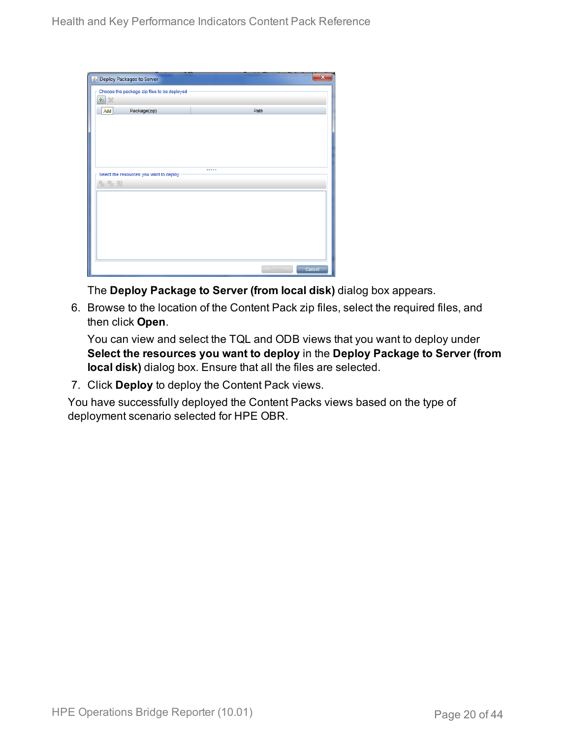| Seploy Packages to Server                   |        |        |
|---------------------------------------------|--------|--------|
| Choose the package zip files to be deployed |        |        |
| 壘<br>$\chi$                                 |        |        |
| Package(zip)<br>Add                         | Path   |        |
|                                             |        |        |
|                                             |        |        |
|                                             |        |        |
|                                             |        |        |
|                                             |        |        |
| Select the resources you want to deploy     |        |        |
| 名七脑                                         |        |        |
|                                             |        |        |
|                                             |        |        |
|                                             |        |        |
|                                             |        |        |
|                                             |        |        |
|                                             |        |        |
|                                             |        |        |
|                                             | Deploy | Cancel |

The **Deploy Package to Server (from local disk)** dialog box appears.

6. Browse to the location of the Content Pack zip files, select the required files, and then click **Open**.

You can view and select the TQL and ODB views that you want to deploy under **Select the resources you want to deploy** in the **Deploy Package to Server (from local disk)** dialog box. Ensure that all the files are selected.

7. Click **Deploy** to deploy the Content Pack views.

You have successfully deployed the Content Packs views based on the type of deployment scenario selected for HPE OBR.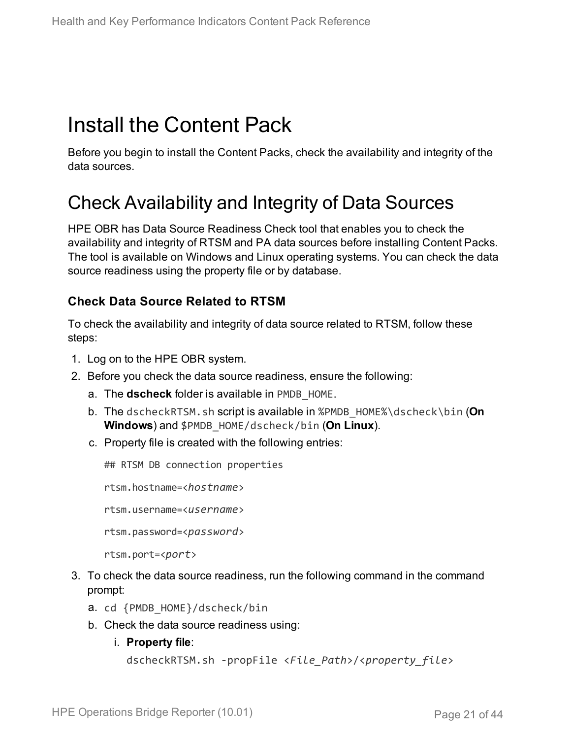## <span id="page-20-0"></span>Install the Content Pack

Before you begin to install the Content Packs, check the availability and integrity of the data sources.

### <span id="page-20-1"></span>Check Availability and Integrity of Data Sources

HPE OBR has Data Source Readiness Check tool that enables you to check the availability and integrity of RTSM and PA data sources before installing Content Packs. The tool is available on Windows and Linux operating systems. You can check the data source readiness using the property file or by database.

#### **Check Data Source Related to RTSM**

To check the availability and integrity of data source related to RTSM, follow these steps:

- 1. Log on to the HPE OBR system.
- 2. Before you check the data source readiness, ensure the following:
	- a. The **dscheck** folder is available in PMDB\_HOME.
	- b. The dscheckRTSM.sh script is available in %PMDB\_HOME%\dscheck\bin (**On Windows**) and \$PMDB\_HOME/dscheck/bin (**On Linux**).
	- c. Property file is created with the following entries:

## RTSM DB connection properties

rtsm.hostname=<*hostname*>

rtsm.username=<*username*>

rtsm.password=<*password*>

```
rtsm.port=<port>
```
- 3. To check the data source readiness, run the following command in the command prompt:
	- a. cd {PMDB\_HOME}/dscheck/bin
	- b. Check the data source readiness using:
		- i. **Property file**:

```
dscheckRTSM.sh -propFile <File_Path>/<property_file>
```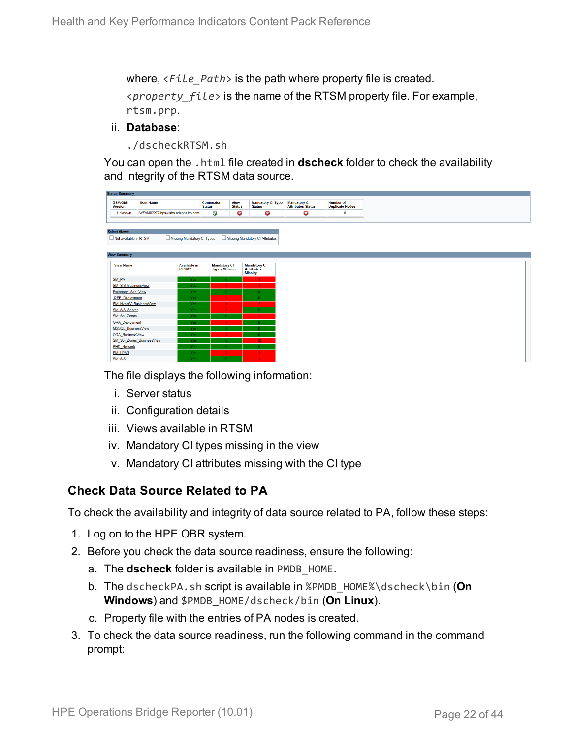where, <*File\_Path*> is the path where property file is created. <*property\_file*> is the name of the RTSM property file. For example, rtsm.prp.

#### ii. **Database**:

./dscheckRTSM.sh

You can open the .html file created in **dscheck** folder to check the availability and integrity of the RTSM data source.

| <b>Status Summary</b>                                                                  |                                   |                                             |                              |                                           |  |                                           |  |
|----------------------------------------------------------------------------------------|-----------------------------------|---------------------------------------------|------------------------------|-------------------------------------------|--|-------------------------------------------|--|
| <b>BSM/OMi</b><br><b>Version</b>                                                       | <b>Host Name</b>                  | Connection<br><b>Status</b>                 | <b>View</b><br><b>Status</b> | <b>Mandatory CI Type</b><br><b>Status</b> |  | <b>Mandatory CI<br/>Attributes Status</b> |  |
| Unknown                                                                                | IWFVM02277.hpswlabs.adapps.hp.com | Ø                                           | ◶                            | ☺                                         |  | 0                                         |  |
|                                                                                        |                                   |                                             |                              |                                           |  |                                           |  |
|                                                                                        |                                   |                                             |                              |                                           |  |                                           |  |
| <b>Select Views:</b>                                                                   |                                   |                                             |                              |                                           |  |                                           |  |
| Missing Mandatory CI Types<br>Missing Mandatory CI Attributes<br>Not available in RTSM |                                   |                                             |                              |                                           |  |                                           |  |
|                                                                                        |                                   |                                             |                              |                                           |  |                                           |  |
| <b>View Summary</b>                                                                    |                                   |                                             |                              |                                           |  |                                           |  |
|                                                                                        |                                   |                                             |                              |                                           |  |                                           |  |
| <b>View Name</b>                                                                       | <b>Available in</b><br>RTSM?      | <b>Mandatory CI</b><br><b>Types Missing</b> |                              | <b>Mandatory CI</b><br><b>Attributes</b>  |  |                                           |  |
|                                                                                        |                                   |                                             |                              | <b>Missing</b>                            |  |                                           |  |
| SM_PA                                                                                  | Yes.                              |                                             |                              | $\mathbf{A}$                              |  |                                           |  |
| SM SiS BusinessView                                                                    | Yes:                              |                                             |                              |                                           |  |                                           |  |
| Exchange Site View                                                                     | Yes:                              |                                             |                              |                                           |  |                                           |  |
| J2EE Deployment                                                                        | Yes.                              |                                             |                              |                                           |  |                                           |  |
| SM_HyperV_BusinessView                                                                 | Yes:                              |                                             |                              |                                           |  |                                           |  |
| SM_SiS_Server                                                                          | Yes                               |                                             |                              |                                           |  |                                           |  |
| SM Sol Zones                                                                           | Yes:                              |                                             |                              |                                           |  |                                           |  |
| <b>ORA</b> Deployment                                                                  | Yes:                              |                                             |                              |                                           |  |                                           |  |
| MSSQL BusinessView                                                                     | <b>Yes</b>                        |                                             |                              |                                           |  |                                           |  |
| ORA BusinessView                                                                       | <b>Yes</b>                        |                                             |                              |                                           |  |                                           |  |
| SM_Sol_Zones_BusinessView                                                              | Yes:                              |                                             |                              | 12                                        |  |                                           |  |
| <b>SHR_Network</b>                                                                     | Yes                               |                                             |                              |                                           |  |                                           |  |
| <b>SM LPAR</b>                                                                         | Yes:                              |                                             |                              |                                           |  |                                           |  |
| SM SiS                                                                                 | Yes.                              |                                             |                              |                                           |  |                                           |  |

The file displays the following information:

- i. Server status
- ii. Configuration details
- iii. Views available in RTSM
- iv. Mandatory CI types missing in the view
- v. Mandatory CI attributes missing with the CI type

#### **Check Data Source Related to PA**

To check the availability and integrity of data source related to PA, follow these steps:

- 1. Log on to the HPE OBR system.
- 2. Before you check the data source readiness, ensure the following:
	- a. The **dscheck** folder is available in PMDB\_HOME.
	- b. The dscheckPA.sh script is available in %PMDB\_HOME%\dscheck\bin (**On Windows**) and \$PMDB\_HOME/dscheck/bin (**On Linux**).
	- c. Property file with the entries of PA nodes is created.
- 3. To check the data source readiness, run the following command in the command prompt: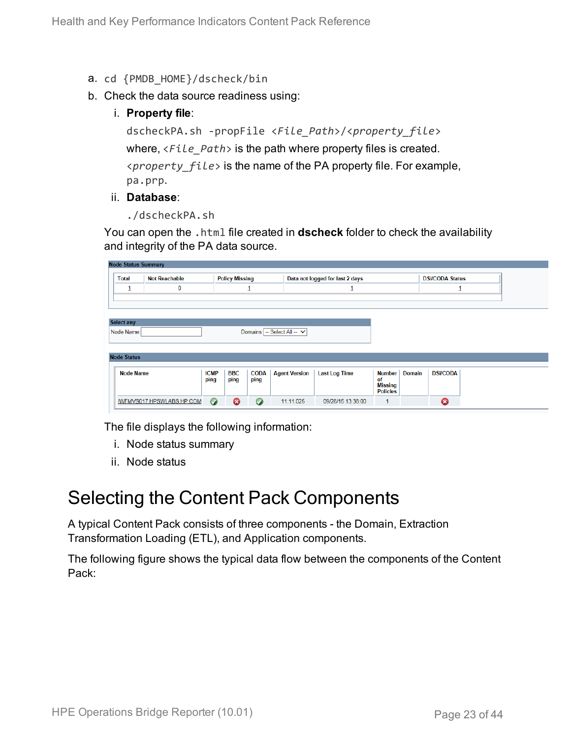- a. cd {PMDB\_HOME}/dscheck/bin
- b. Check the data source readiness using:
	- i. **Property file**:

dscheckPA.sh -propFile <*File\_Path*>/<*property\_file*> where, <*File\_Path*> is the path where property files is created. <*property\_file*> is the name of the PA property file. For example, pa.prp.

#### ii. **Database**:

./dscheckPA.sh

You can open the .html file created in **dscheck** folder to check the availability and integrity of the PA data source.

| <b>Node Status Summary</b> |                           |             |                       |             |                             |                                 |                      |               |                        |  |
|----------------------------|---------------------------|-------------|-----------------------|-------------|-----------------------------|---------------------------------|----------------------|---------------|------------------------|--|
| <b>Total</b>               | <b>Not Reachable</b>      |             | <b>Policy Missing</b> |             |                             | Data not logged for last 2 days |                      |               | <b>DSi/CODA Status</b> |  |
| ∸                          | 0                         |             |                       | ᆜ           |                             |                                 |                      |               | ┹                      |  |
|                            |                           |             |                       |             |                             |                                 |                      |               |                        |  |
|                            |                           |             |                       |             |                             |                                 |                      |               |                        |  |
| <b>Select any</b>          |                           |             |                       |             |                             |                                 |                      |               |                        |  |
| Node Name:                 |                           |             |                       |             | Domains: -- Select All -- V |                                 |                      |               |                        |  |
|                            |                           |             |                       |             |                             |                                 |                      |               |                        |  |
|                            |                           |             |                       |             |                             |                                 |                      |               |                        |  |
| <b>Node Status</b>         |                           |             |                       |             |                             |                                 |                      |               |                        |  |
| <b>Node Name</b>           |                           | <b>ICMP</b> | <b>BBC</b>            | <b>CODA</b> | <b>Agent Version</b>        | <b>Last Log Time</b>            | Number               | <b>Domain</b> | <b>DSi/CODA</b>        |  |
|                            |                           | ping        | ping                  | ping        |                             |                                 | of<br><b>Missing</b> |               |                        |  |
|                            |                           |             |                       |             |                             |                                 | <b>Policies</b>      |               |                        |  |
|                            | IWFMVS017.HPSWLABS.HP.COM | $\bullet$   | $\boldsymbol{\Omega}$ | $\bullet$   | 11.11.025                   | 09/28/15 13:38:00               |                      |               | 0                      |  |
|                            |                           |             |                       |             |                             |                                 |                      |               |                        |  |

The file displays the following information:

- i. Node status summary
- ii. Node status

### <span id="page-22-0"></span>Selecting the Content Pack Components

A typical Content Pack consists of three components - the Domain, Extraction Transformation Loading (ETL), and Application components.

The following figure shows the typical data flow between the components of the Content Pack: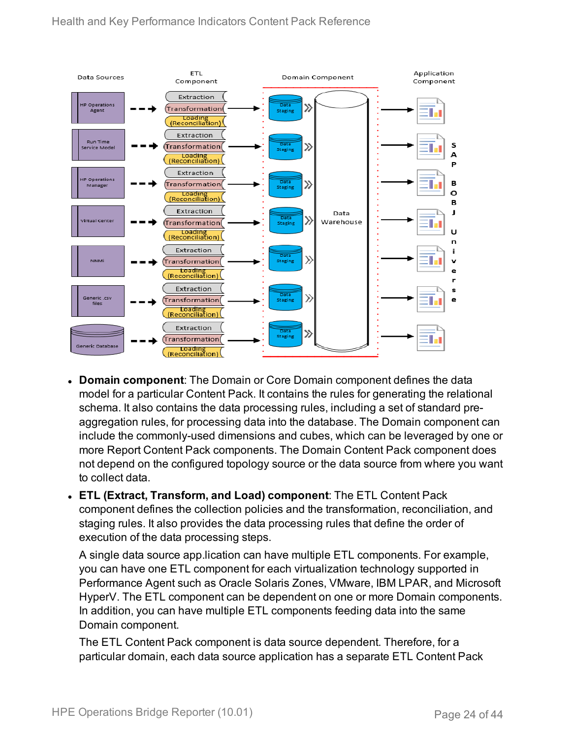

- **Domain component**: The Domain or Core Domain component defines the data model for a particular Content Pack. It contains the rules for generating the relational schema. It also contains the data processing rules, including a set of standard preaggregation rules, for processing data into the database. The Domain component can include the commonly-used dimensions and cubes, which can be leveraged by one or more Report Content Pack components. The Domain Content Pack component does not depend on the configured topology source or the data source from where you want to collect data.
- <sup>l</sup> **ETL (Extract, Transform, and Load) component**: The ETL Content Pack component defines the collection policies and the transformation, reconciliation, and staging rules. It also provides the data processing rules that define the order of execution of the data processing steps.

A single data source app.lication can have multiple ETL components. For example, you can have one ETL component for each virtualization technology supported in Performance Agent such as Oracle Solaris Zones, VMware, IBM LPAR, and Microsoft HyperV. The ETL component can be dependent on one or more Domain components. In addition, you can have multiple ETL components feeding data into the same Domain component.

The ETL Content Pack component is data source dependent. Therefore, for a particular domain, each data source application has a separate ETL Content Pack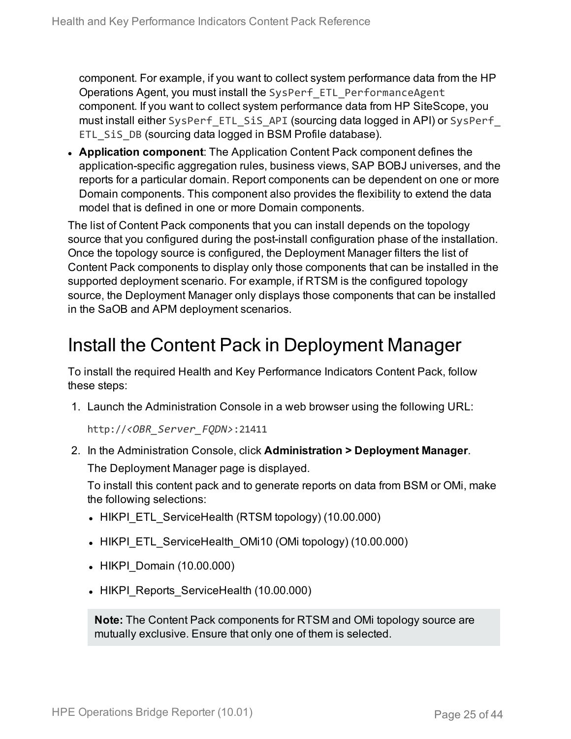component. For example, if you want to collect system performance data from the HP Operations Agent, you must install the SysPerf\_ETL\_PerformanceAgent component. If you want to collect system performance data from HP SiteScope, you must install either SysPerf\_ETL\_SiS\_API (sourcing data logged in API) or SysPerf\_ ETL SiS DB (sourcing data logged in BSM Profile database).

**Application component**: The Application Content Pack component defines the application-specific aggregation rules, business views, SAP BOBJ universes, and the reports for a particular domain. Report components can be dependent on one or more Domain components. This component also provides the flexibility to extend the data model that is defined in one or more Domain components.

The list of Content Pack components that you can install depends on the topology source that you configured during the post-install configuration phase of the installation. Once the topology source is configured, the Deployment Manager filters the list of Content Pack components to display only those components that can be installed in the supported deployment scenario. For example, if RTSM is the configured topology source, the Deployment Manager only displays those components that can be installed in the SaOB and APM deployment scenarios.

### <span id="page-24-0"></span>Install the Content Pack in Deployment Manager

To install the required Health and Key Performance Indicators Content Pack, follow these steps:

1. Launch the Administration Console in a web browser using the following URL:

http://*<OBR\_Server\_FQDN>*:21411

2. In the Administration Console, click **Administration > Deployment Manager**. The Deployment Manager page is displayed.

To install this content pack and to generate reports on data from BSM or OMi, make the following selections:

- HIKPI ETL ServiceHealth (RTSM topology) (10.00.000)
- HIKPI ETL ServiceHealth OMi10 (OMi topology) (10.00.000)
- HIKPI\_Domain (10.00.000)
- HIKPI Reports ServiceHealth (10.00.000)

**Note:** The Content Pack components for RTSM and OMi topology source are mutually exclusive. Ensure that only one of them is selected.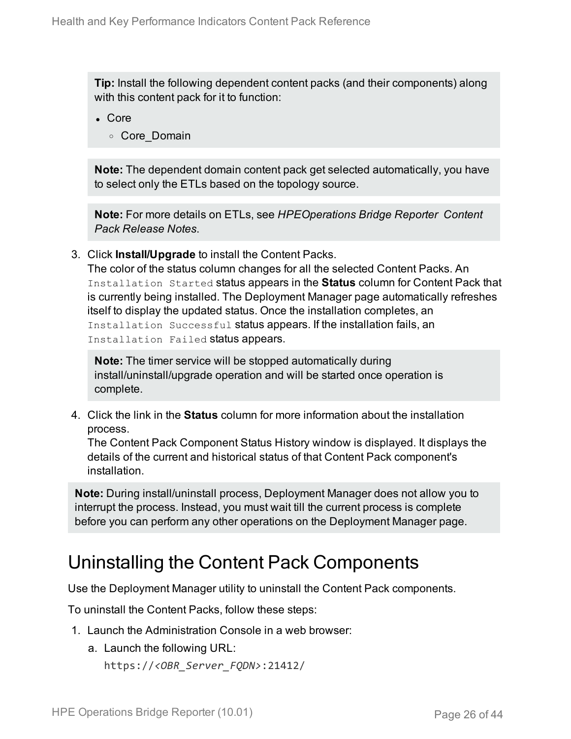**Tip:** Install the following dependent content packs (and their components) along with this content pack for it to function:

- Core
	- <sup>o</sup> Core\_Domain

**Note:** The dependent domain content pack get selected automatically, you have to select only the ETLs based on the topology source.

**Note:** For more details on ETLs, see *HPEOperations Bridge Reporter Content Pack Release Notes*.

3. Click **Install/Upgrade** to install the Content Packs.

The color of the status column changes for all the selected Content Packs. An Installation Started status appears in the **Status** column for Content Pack that is currently being installed. The Deployment Manager page automatically refreshes itself to display the updated status. Once the installation completes, an Installation Successful status appears. If the installation fails, an Installation Failed status appears.

**Note:** The timer service will be stopped automatically during install/uninstall/upgrade operation and will be started once operation is complete.

4. Click the link in the **Status** column for more information about the installation process.

The Content Pack Component Status History window is displayed. It displays the details of the current and historical status of that Content Pack component's installation.

**Note:** During install/uninstall process, Deployment Manager does not allow you to interrupt the process. Instead, you must wait till the current process is complete before you can perform any other operations on the Deployment Manager page.

### <span id="page-25-0"></span>Uninstalling the Content Pack Components

Use the Deployment Manager utility to uninstall the Content Pack components.

To uninstall the Content Packs, follow these steps:

- 1. Launch the Administration Console in a web browser:
	- a. Launch the following URL:

```
https://<OBR_Server_FQDN>:21412/
```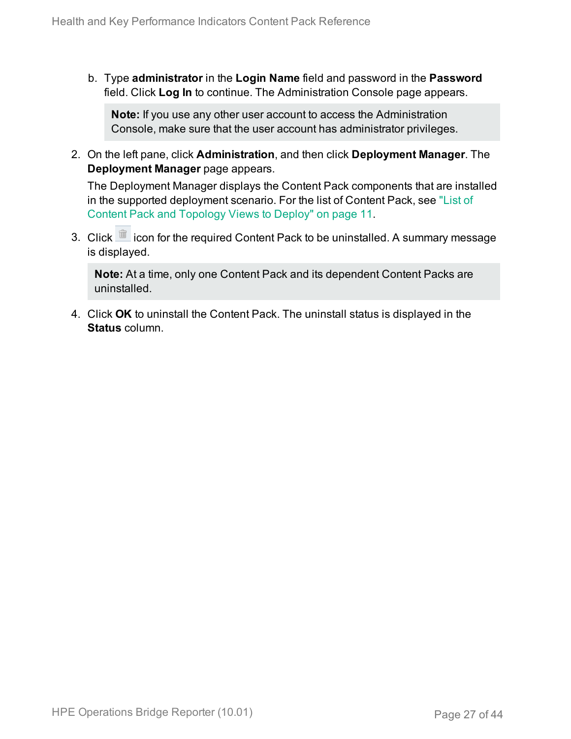b. Type **administrator** in the **Login Name** field and password in the **Password** field. Click **Log In** to continue. The Administration Console page appears.

**Note:** If you use any other user account to access the Administration Console, make sure that the user account has administrator privileges.

2. On the left pane, click **Administration**, and then click **Deployment Manager**. The **Deployment Manager** page appears.

The Deployment Manager displays the Content Pack components that are installed in the supported deployment scenario. For the list of Content Pack, see ["List](#page-10-1) of Content Pack and [Topology](#page-10-1) Views to Deploy" on page 11.

3. Click icon for the required Content Pack to be uninstalled. A summary message is displayed.

**Note:** At a time, only one Content Pack and its dependent Content Packs are uninstalled.

4. Click **OK** to uninstall the Content Pack. The uninstall status is displayed in the **Status** column.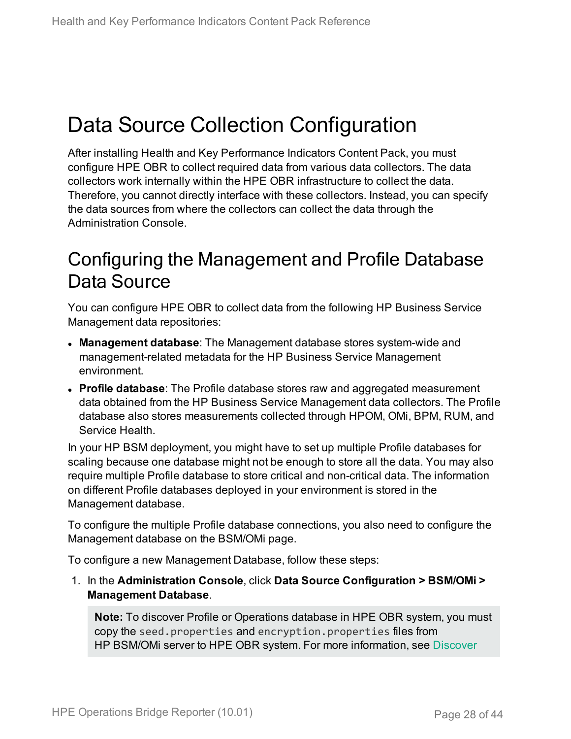## <span id="page-27-0"></span>Data Source Collection Configuration

After installing Health and Key Performance Indicators Content Pack, you must configure HPE OBR to collect required data from various data collectors. The data collectors work internally within the HPE OBR infrastructure to collect the data. Therefore, you cannot directly interface with these collectors. Instead, you can specify the data sources from where the collectors can collect the data through the Administration Console.

### <span id="page-27-1"></span>Configuring the Management and Profile Database Data Source

You can configure HPE OBR to collect data from the following HP Business Service Management data repositories:

- **Management database**: The Management database stores system-wide and management-related metadata for the HP Business Service Management environment.
- **Profile database**: The Profile database stores raw and aggregated measurement data obtained from the HP Business Service Management data collectors. The Profile database also stores measurements collected through HPOM, OMi, BPM, RUM, and Service Health.

In your HP BSM deployment, you might have to set up multiple Profile databases for scaling because one database might not be enough to store all the data. You may also require multiple Profile database to store critical and non-critical data. The information on different Profile databases deployed in your environment is stored in the Management database.

To configure the multiple Profile database connections, you also need to configure the Management database on the BSM/OMi page.

To configure a new Management Database, follow these steps:

1. In the **Administration Console**, click **Data Source Configuration > BSM/OMi > Management Database**.

**Note:** To discover Profile or Operations database in HPE OBR system, you must copy the seed.properties and encryption.properties files from HP BSM/OMi server to HPE OBR system. For more information, see [Discover](#page-34-0)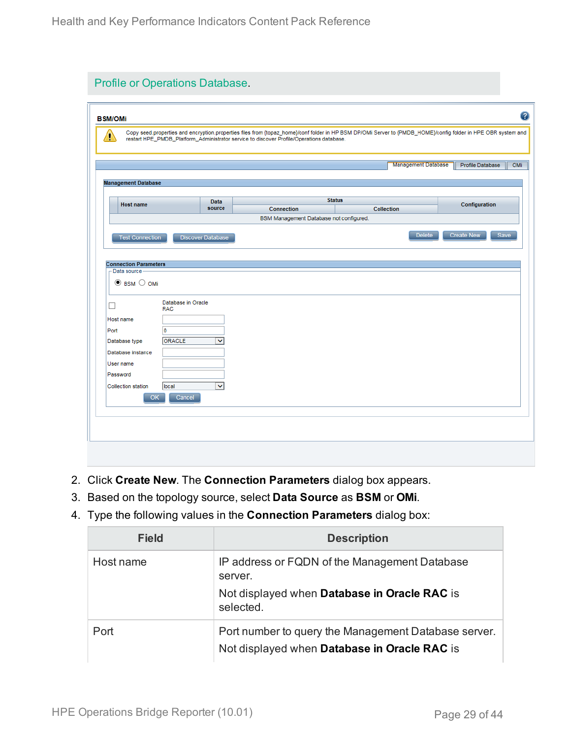| Ą                                                           |                                   | restart HPE_PMDB_Platform_Administrator service to discover Profile/Operations database. |                                    | Copy seed properties and encryption properties files from {topaz_home}/conf folder in HP BSM DP/OMi Server to {PMDB_HOME}/config folder in HPE OBR system and |
|-------------------------------------------------------------|-----------------------------------|------------------------------------------------------------------------------------------|------------------------------------|---------------------------------------------------------------------------------------------------------------------------------------------------------------|
|                                                             |                                   |                                                                                          |                                    | <b>Management Database</b><br>Profile Database                                                                                                                |
| <b>Management Database</b>                                  |                                   |                                                                                          |                                    |                                                                                                                                                               |
| <b>Host name</b>                                            | Data<br>source                    | <b>Connection</b>                                                                        | <b>Status</b><br><b>Collection</b> | Configuration                                                                                                                                                 |
|                                                             |                                   | BSM Management Database not configured.                                                  |                                    |                                                                                                                                                               |
| Data source-                                                |                                   |                                                                                          |                                    |                                                                                                                                                               |
| $\odot$ BSM $\odot$ OMi                                     |                                   |                                                                                          |                                    |                                                                                                                                                               |
| H<br><b>RAC</b><br>Host name                                | Database in Oracle                |                                                                                          |                                    |                                                                                                                                                               |
| o<br>Port<br><b>ORACLE</b><br>Database type                 | $\checkmark$                      |                                                                                          |                                    |                                                                                                                                                               |
| Database instance<br>User name                              |                                   |                                                                                          |                                    |                                                                                                                                                               |
| Password<br><b>Collection station</b><br>local<br><b>OK</b> | $\overline{\mathsf{v}}$<br>Cancel |                                                                                          |                                    |                                                                                                                                                               |

- 2. Click **Create New**. The **Connection Parameters** dialog box appears.
- 3. Based on the topology source, select **Data Source** as **BSM** or **OMi**.
- 4. Type the following values in the **Connection Parameters** dialog box:

| <b>Field</b> | <b>Description</b>                                                                                                    |
|--------------|-----------------------------------------------------------------------------------------------------------------------|
| Host name    | IP address or FQDN of the Management Database<br>server.<br>Not displayed when Database in Oracle RAC is<br>selected. |
| Port         | Port number to query the Management Database server.<br>Not displayed when Database in Oracle RAC is                  |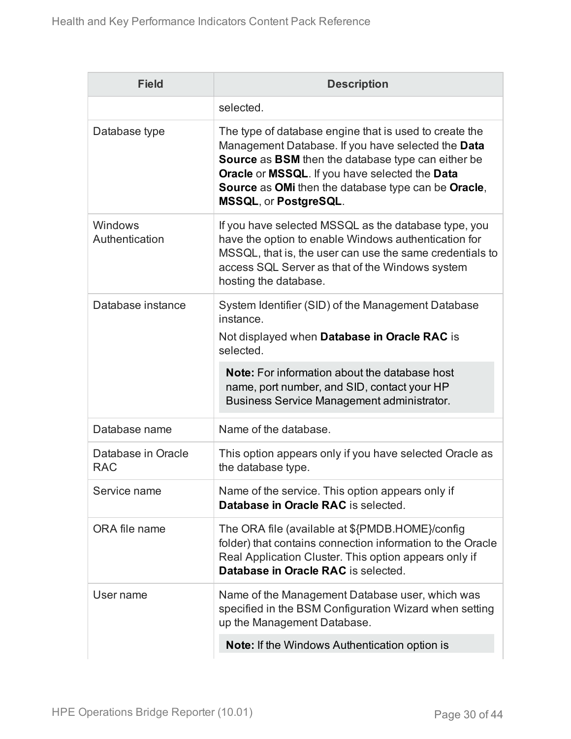| <b>Field</b>                     | <b>Description</b>                                                                                                                                                                                                                                                                                          |
|----------------------------------|-------------------------------------------------------------------------------------------------------------------------------------------------------------------------------------------------------------------------------------------------------------------------------------------------------------|
|                                  | selected.                                                                                                                                                                                                                                                                                                   |
| Database type                    | The type of database engine that is used to create the<br>Management Database. If you have selected the Data<br>Source as BSM then the database type can either be<br>Oracle or MSSQL. If you have selected the Data<br>Source as OMi then the database type can be Oracle,<br><b>MSSQL, or PostgreSQL.</b> |
| Windows<br>Authentication        | If you have selected MSSQL as the database type, you<br>have the option to enable Windows authentication for<br>MSSQL, that is, the user can use the same credentials to<br>access SQL Server as that of the Windows system<br>hosting the database.                                                        |
| Database instance                | System Identifier (SID) of the Management Database<br>instance.<br>Not displayed when Database in Oracle RAC is<br>selected.                                                                                                                                                                                |
|                                  | <b>Note:</b> For information about the database host<br>name, port number, and SID, contact your HP<br>Business Service Management administrator.                                                                                                                                                           |
| Database name                    | Name of the database.                                                                                                                                                                                                                                                                                       |
| Database in Oracle<br><b>RAC</b> | This option appears only if you have selected Oracle as<br>the database type.                                                                                                                                                                                                                               |
| Service name                     | Name of the service. This option appears only if<br>Database in Oracle RAC is selected.                                                                                                                                                                                                                     |
| ORA file name                    | The ORA file (available at \${PMDB.HOME}/config<br>folder) that contains connection information to the Oracle<br>Real Application Cluster. This option appears only if<br>Database in Oracle RAC is selected.                                                                                               |
| User name                        | Name of the Management Database user, which was<br>specified in the BSM Configuration Wizard when setting<br>up the Management Database.                                                                                                                                                                    |
|                                  | <b>Note:</b> If the Windows Authentication option is                                                                                                                                                                                                                                                        |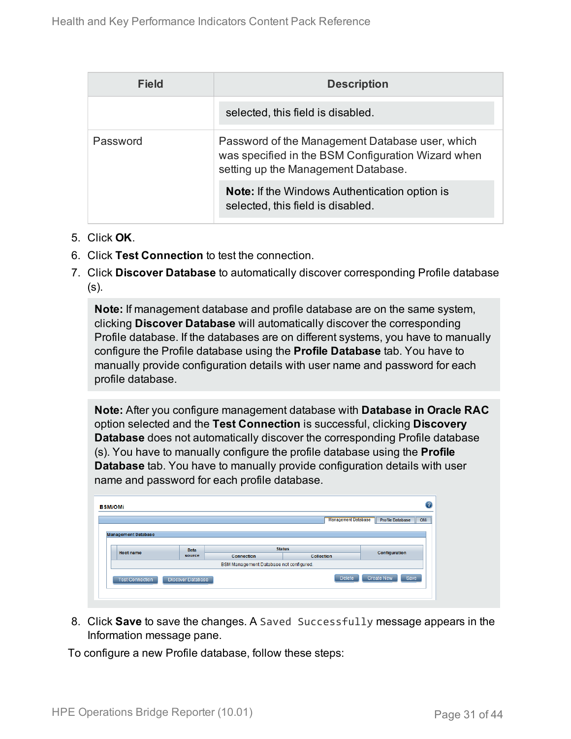| Field    | <b>Description</b>                                                                                                                           |
|----------|----------------------------------------------------------------------------------------------------------------------------------------------|
|          | selected, this field is disabled.                                                                                                            |
| Password | Password of the Management Database user, which<br>was specified in the BSM Configuration Wizard when<br>setting up the Management Database. |
|          | <b>Note:</b> If the Windows Authentication option is<br>selected, this field is disabled.                                                    |

- 5. Click **OK**.
- 6. Click **Test Connection** to test the connection.
- 7. Click **Discover Database** to automatically discover corresponding Profile database (s).

**Note:** If management database and profile database are on the same system, clicking **Discover Database** will automatically discover the corresponding Profile database. If the databases are on different systems, you have to manually configure the Profile database using the **Profile Database** tab. You have to manually provide configuration details with user name and password for each profile database.

**Note:** After you configure management database with **Database in Oracle RAC** option selected and the **Test Connection** is successful, clicking **Discovery Database** does not automatically discover the corresponding Profile database (s). You have to manually configure the profile database using the **Profile Database** tab. You have to manually provide configuration details with user name and password for each profile database.

|                            |             |                                         | <b>Management Database</b> | Profile Database |
|----------------------------|-------------|-----------------------------------------|----------------------------|------------------|
| <b>Management Database</b> |             |                                         |                            |                  |
|                            |             |                                         |                            |                  |
| Host name                  | <b>Data</b> | <b>Status</b>                           |                            | Configuration    |
|                            |             | <b>Connection</b>                       | <b>Collection</b>          |                  |
|                            | source      |                                         |                            |                  |
|                            |             | BSM Management Database not configured. |                            |                  |

8. Click **Save** to save the changes. A Saved Successfully message appears in the Information message pane.

To configure a new Profile database, follow these steps: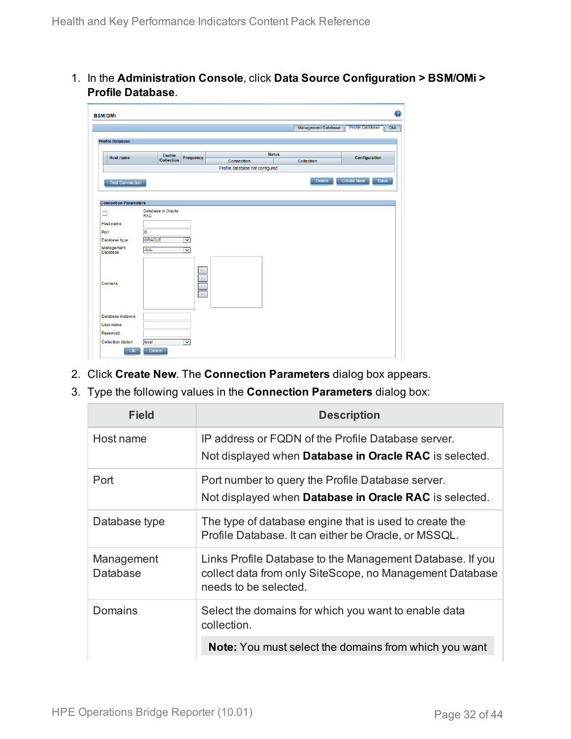1. In the **Administration Console**, click **Data Source Configuration > BSM/OMi > Profile Database**.

|                              |                             |                         |                                  |               | <b>Management Database</b> | <b>Profile Database</b><br>OMi |
|------------------------------|-----------------------------|-------------------------|----------------------------------|---------------|----------------------------|--------------------------------|
|                              |                             |                         |                                  |               |                            |                                |
| <b>Profile Database</b>      |                             |                         |                                  |               |                            |                                |
|                              |                             |                         |                                  |               |                            |                                |
| <b>Host name</b>             | Enable<br><b>Collection</b> | Frequency               |                                  | <b>Status</b> |                            | Configuration                  |
|                              |                             |                         | <b>Connection</b>                |               | <b>Collection</b>          |                                |
|                              |                             |                         | Profile database not configured. |               |                            |                                |
| <b>Test Connection</b>       |                             |                         |                                  |               | <b>Delete</b>              | <b>Create New</b><br>Save      |
|                              |                             |                         |                                  |               |                            |                                |
|                              |                             |                         |                                  |               |                            |                                |
| <b>Connection Parameters</b> |                             |                         |                                  |               |                            |                                |
| □                            | Database in Oracle          |                         |                                  |               |                            |                                |
|                              | <b>RAC</b>                  |                         |                                  |               |                            |                                |
| Host name                    |                             |                         |                                  |               |                            |                                |
| Port                         | $\overline{\mathfrak{o}}$   |                         |                                  |               |                            |                                |
| Database type                | ORACLE                      | $\overline{\mathbf{v}}$ |                                  |               |                            |                                |
| Management<br>Database       | $-NA-$                      | $\checkmark$            |                                  |               |                            |                                |
|                              |                             |                         |                                  |               |                            |                                |
|                              |                             |                         |                                  |               |                            |                                |
|                              |                             | DH.                     |                                  |               |                            |                                |
|                              |                             | D.                      |                                  |               |                            |                                |
| <b>Domains</b>               |                             | $\overline{A}$          |                                  |               |                            |                                |
|                              |                             | $\mathbb{H}$            |                                  |               |                            |                                |
|                              |                             |                         |                                  |               |                            |                                |
|                              |                             |                         |                                  |               |                            |                                |
| Database instance            |                             |                         |                                  |               |                            |                                |
| User name                    |                             |                         |                                  |               |                            |                                |
|                              |                             |                         |                                  |               |                            |                                |
| Password                     |                             |                         |                                  |               |                            |                                |

- 2. Click **Create New**. The **Connection Parameters** dialog box appears.
- 3. Type the following values in the **Connection Parameters** dialog box:

| <b>Field</b>           | <b>Description</b>                                                                                                                             |
|------------------------|------------------------------------------------------------------------------------------------------------------------------------------------|
| Host name              | IP address or FQDN of the Profile Database server.<br>Not displayed when <b>Database in Oracle RAC</b> is selected.                            |
| Port                   | Port number to query the Profile Database server.<br>Not displayed when Database in Oracle RAC is selected.                                    |
| Database type          | The type of database engine that is used to create the<br>Profile Database. It can either be Oracle, or MSSQL.                                 |
| Management<br>Database | Links Profile Database to the Management Database. If you<br>collect data from only SiteScope, no Management Database<br>needs to be selected. |
| Domains                | Select the domains for which you want to enable data<br>collection.                                                                            |
|                        | <b>Note:</b> You must select the domains from which you want                                                                                   |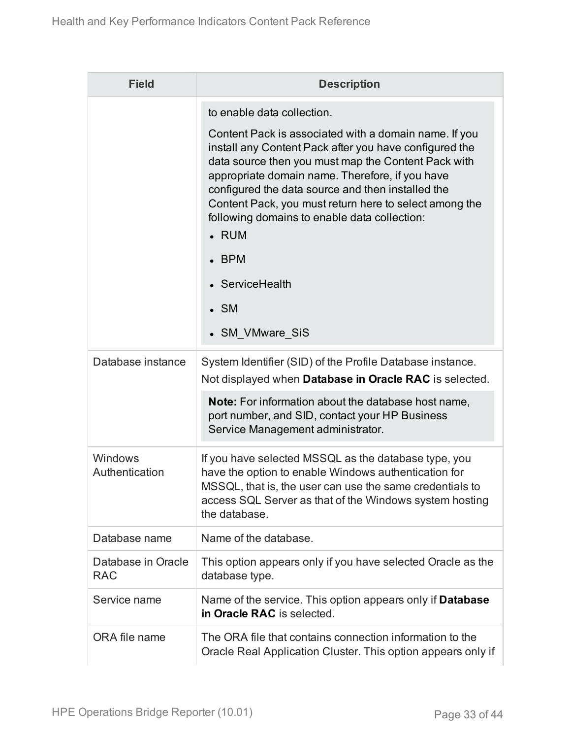| <b>Field</b>                     | <b>Description</b>                                                                                                                                                                                                                                                                                                                                                                                                                                                                                  |  |
|----------------------------------|-----------------------------------------------------------------------------------------------------------------------------------------------------------------------------------------------------------------------------------------------------------------------------------------------------------------------------------------------------------------------------------------------------------------------------------------------------------------------------------------------------|--|
|                                  | to enable data collection.<br>Content Pack is associated with a domain name. If you<br>install any Content Pack after you have configured the<br>data source then you must map the Content Pack with<br>appropriate domain name. Therefore, if you have<br>configured the data source and then installed the<br>Content Pack, you must return here to select among the<br>following domains to enable data collection:<br>• RUM<br><b>BPM</b><br>• ServiceHealth<br>$\bullet$ SM<br>• SM VMware SiS |  |
| Database instance                | System Identifier (SID) of the Profile Database instance.<br>Not displayed when Database in Oracle RAC is selected.<br>Note: For information about the database host name,<br>port number, and SID, contact your HP Business<br>Service Management administrator.                                                                                                                                                                                                                                   |  |
| Windows<br>Authentication        | If you have selected MSSQL as the database type, you<br>have the option to enable Windows authentication for<br>MSSQL, that is, the user can use the same credentials to<br>access SQL Server as that of the Windows system hosting<br>the database.                                                                                                                                                                                                                                                |  |
| Database name                    | Name of the database.                                                                                                                                                                                                                                                                                                                                                                                                                                                                               |  |
| Database in Oracle<br><b>RAC</b> | This option appears only if you have selected Oracle as the<br>database type.                                                                                                                                                                                                                                                                                                                                                                                                                       |  |
| Service name                     | Name of the service. This option appears only if <b>Database</b><br>in Oracle RAC is selected.                                                                                                                                                                                                                                                                                                                                                                                                      |  |
| ORA file name                    | The ORA file that contains connection information to the<br>Oracle Real Application Cluster. This option appears only if                                                                                                                                                                                                                                                                                                                                                                            |  |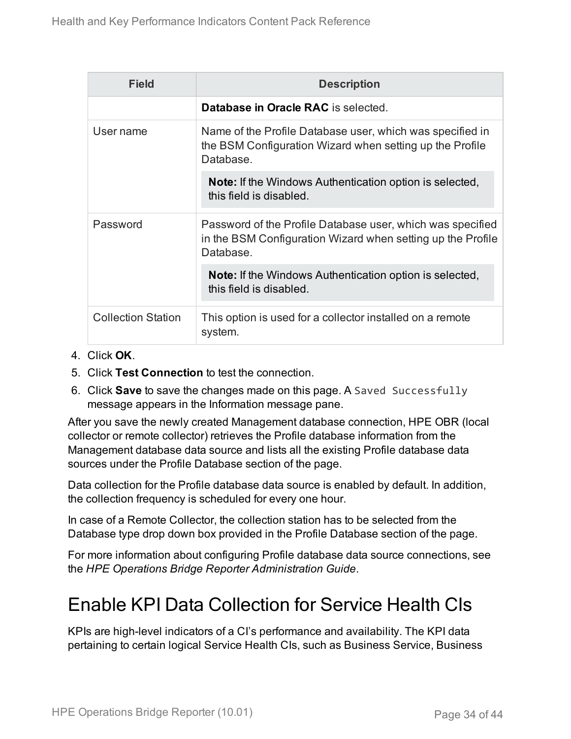| <b>Field</b>              | <b>Description</b>                                                                                                                     |
|---------------------------|----------------------------------------------------------------------------------------------------------------------------------------|
|                           | Database in Oracle RAC is selected.                                                                                                    |
| User name                 | Name of the Profile Database user, which was specified in<br>the BSM Configuration Wizard when setting up the Profile<br>Database.     |
|                           | <b>Note:</b> If the Windows Authentication option is selected,<br>this field is disabled.                                              |
| Password                  | Password of the Profile Database user, which was specified<br>in the BSM Configuration Wizard when setting up the Profile<br>Database. |
|                           | <b>Note:</b> If the Windows Authentication option is selected,<br>this field is disabled.                                              |
| <b>Collection Station</b> | This option is used for a collector installed on a remote<br>system.                                                                   |

- 4. Click **OK**.
- 5. Click **Test Connection** to test the connection.
- 6. Click **Save** to save the changes made on this page. A Saved Successfully message appears in the Information message pane.

After you save the newly created Management database connection, HPE OBR (local collector or remote collector) retrieves the Profile database information from the Management database data source and lists all the existing Profile database data sources under the Profile Database section of the page.

Data collection for the Profile database data source is enabled by default. In addition, the collection frequency is scheduled for every one hour.

In case of a Remote Collector, the collection station has to be selected from the Database type drop down box provided in the Profile Database section of the page.

For more information about configuring Profile database data source connections, see the *HPE Operations Bridge Reporter Administration Guide*.

### Enable KPI Data Collection for Service Health CIs

KPIs are high-level indicators of a CI's performance and availability. The KPI data pertaining to certain logical Service Health CIs, such as Business Service, Business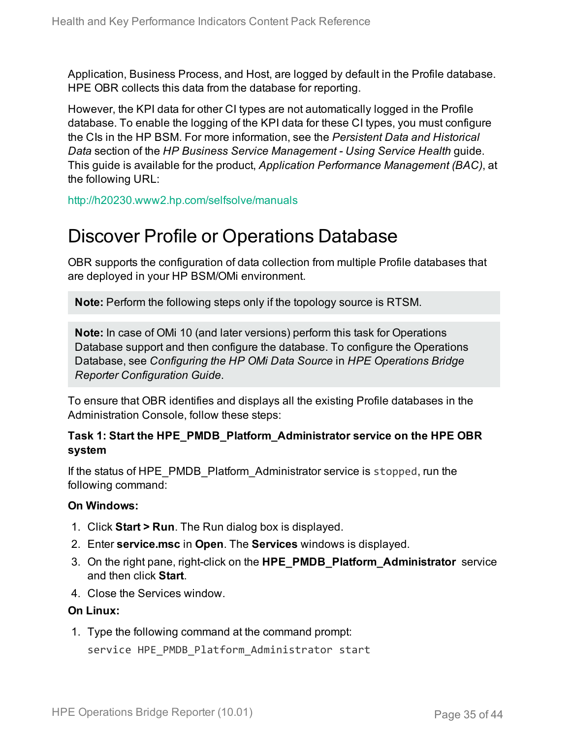Application, Business Process, and Host, are logged by default in the Profile database. HPE OBR collects this data from the database for reporting.

However, the KPI data for other CI types are not automatically logged in the Profile database. To enable the logging of the KPI data for these CI types, you must configure the CIs in the HP BSM. For more information, see the *Persistent Data and Historical Data* section of the *HP Business Service Management - Using Service Health* guide. This guide is available for the product, *Application Performance Management (BAC)*, at the following URL:

<span id="page-34-0"></span><http://h20230.www2.hp.com/selfsolve/manuals>

### Discover Profile or Operations Database

OBR supports the configuration of data collection from multiple Profile databases that are deployed in your HP BSM/OMi environment.

**Note:** Perform the following steps only if the topology source is RTSM.

**Note:** In case of OMi 10 (and later versions) perform this task for Operations Database support and then configure the database. To configure the Operations Database, see *Configuring the HP OMi Data Source* in *HPE Operations Bridge Reporter Configuration Guide*.

To ensure that OBR identifies and displays all the existing Profile databases in the Administration Console, follow these steps:

#### **Task 1: Start the HPE\_PMDB\_Platform\_Administrator service on the HPE OBR system**

If the status of HPE\_PMDB\_Platform\_Administrator service is stopped, run the following command:

#### **On Windows:**

- 1. Click **Start > Run**. The Run dialog box is displayed.
- 2. Enter **service.msc** in **Open**. The **Services** windows is displayed.
- 3. On the right pane, right-click on the **HPE\_PMDB\_Platform\_Administrator** service and then click **Start**.
- 4. Close the Services window.

#### **On Linux:**

1. Type the following command at the command prompt: service HPE\_PMDB\_Platform\_Administrator start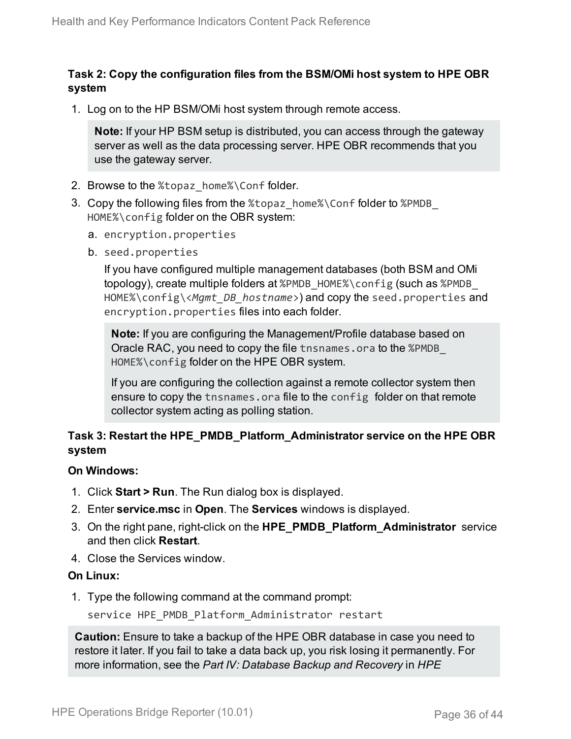#### **Task 2: Copy the configuration files from the BSM/OMi host system to HPE OBR system**

1. Log on to the HP BSM/OMi host system through remote access.

**Note:** If your HP BSM setup is distributed, you can access through the gateway server as well as the data processing server. HPE OBR recommends that you use the gateway server.

- 2. Browse to the %topaz home%\Conf folder.
- 3. Copy the following files from the %topaz\_home%\Conf folder to %PMDB\_ HOME%\config folder on the OBR system:
	- a. encryption.properties
	- b. seed.properties

If you have configured multiple management databases (both BSM and OMi topology), create multiple folders at %PMDB\_HOME%\config (such as %PMDB\_ HOME%\config\<*Mgmt\_DB\_hostname*>) and copy the seed.properties and encryption.properties files into each folder.

**Note:** If you are configuring the Management/Profile database based on Oracle RAC, you need to copy the file tnsnames.ora to the %PMDB\_ HOME%\config folder on the HPE OBR system.

If you are configuring the collection against a remote collector system then ensure to copy the tnsnames.ora file to the config folder on that remote collector system acting as polling station.

#### **Task 3: Restart the HPE\_PMDB\_Platform\_Administrator service on the HPE OBR system**

#### **On Windows:**

- 1. Click **Start > Run**. The Run dialog box is displayed.
- 2. Enter **service.msc** in **Open**. The **Services** windows is displayed.
- 3. On the right pane, right-click on the **HPE\_PMDB\_Platform\_Administrator** service and then click **Restart**.
- 4. Close the Services window.

#### **On Linux:**

1. Type the following command at the command prompt:

service HPE\_PMDB\_Platform\_Administrator restart

**Caution:** Ensure to take a backup of the HPE OBR database in case you need to restore it later. If you fail to take a data back up, you risk losing it permanently. For more information, see the *Part IV: Database Backup and Recovery* in *HPE*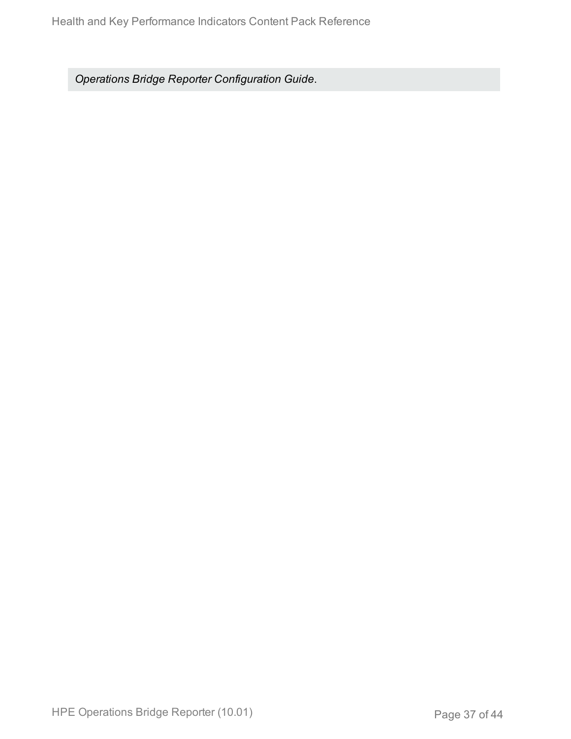*Operations Bridge Reporter Configuration Guide*.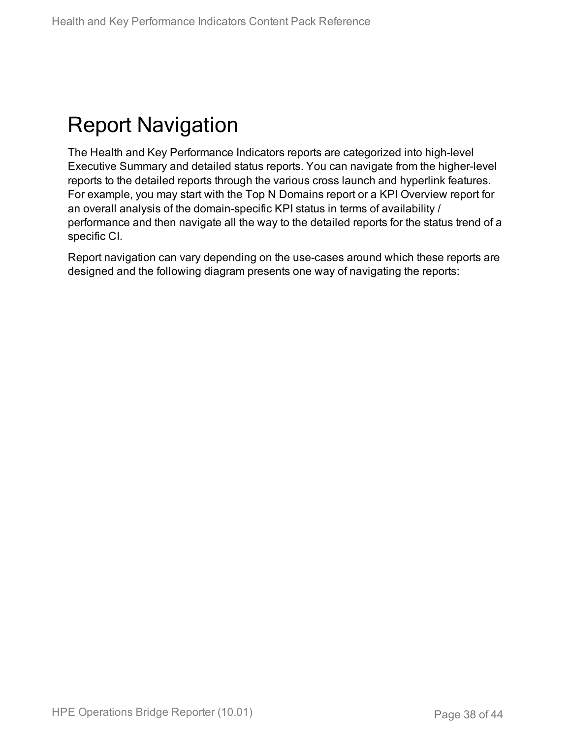# <span id="page-37-0"></span>Report Navigation

The Health and Key Performance Indicators reports are categorized into high-level Executive Summary and detailed status reports. You can navigate from the higher-level reports to the detailed reports through the various cross launch and hyperlink features. For example, you may start with the Top N Domains report or a KPI Overview report for an overall analysis of the domain-specific KPI status in terms of availability / performance and then navigate all the way to the detailed reports for the status trend of a specific CI.

Report navigation can vary depending on the use-cases around which these reports are designed and the following diagram presents one way of navigating the reports: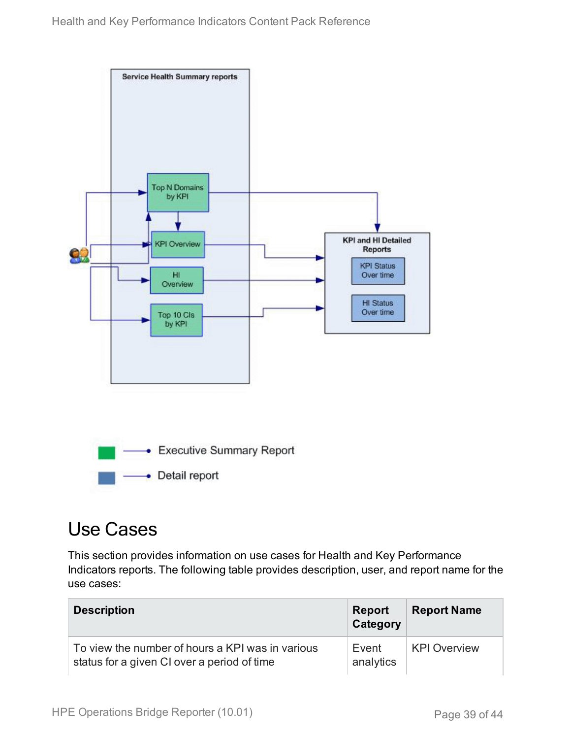

### <span id="page-38-0"></span>Use Cases

This section provides information on use cases for Health and Key Performance Indicators reports. The following table provides description, user, and report name for the use cases:

| <b>Description</b>                                                                              | <b>Report</b><br>Category | <b>Report Name</b>  |
|-------------------------------------------------------------------------------------------------|---------------------------|---------------------|
| To view the number of hours a KPI was in various<br>status for a given CI over a period of time | Event<br>analytics        | <b>KPI Overview</b> |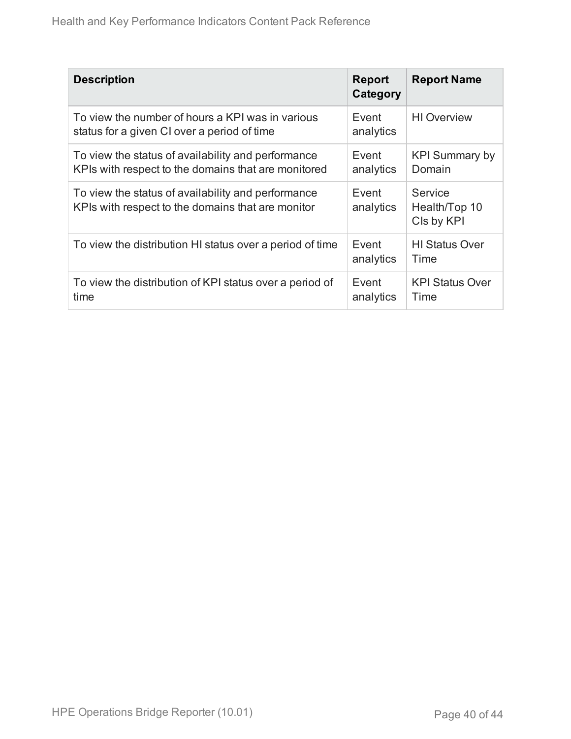| <b>Description</b>                                                                                        | <b>Report</b><br>Category | <b>Report Name</b>                     |
|-----------------------------------------------------------------------------------------------------------|---------------------------|----------------------------------------|
| To view the number of hours a KPI was in various<br>status for a given CI over a period of time           | Event<br>analytics        | <b>HI</b> Overview                     |
| To view the status of availability and performance<br>KPIs with respect to the domains that are monitored | Event<br>analytics        | <b>KPI Summary by</b><br>Domain        |
| To view the status of availability and performance<br>KPIs with respect to the domains that are monitor   | Event<br>analytics        | Service<br>Health/Top 10<br>CIs by KPI |
| To view the distribution HI status over a period of time                                                  | Event<br>analytics        | <b>HI Status Over</b><br>Time          |
| To view the distribution of KPI status over a period of<br>time                                           | Event<br>analytics        | <b>KPI Status Over</b><br>Time         |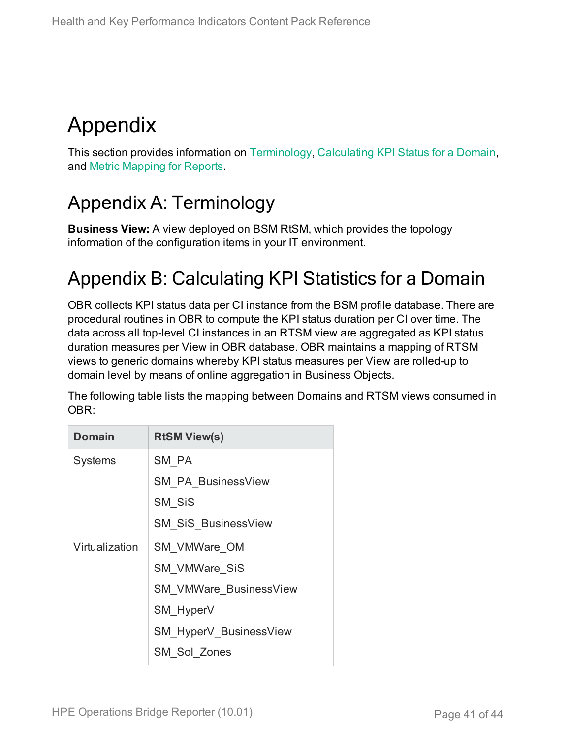# <span id="page-40-0"></span>Appendix

This section provides information on [Terminology](#page-40-1), [Calculating](#page-40-2) KPI Status for a Domain, and Metric [Mapping](#page-41-0) for Reports.

## <span id="page-40-1"></span>Appendix A: Terminology

**Business View:** A view deployed on BSM RtSM, which provides the topology information of the configuration items in your IT environment.

## <span id="page-40-2"></span>Appendix B: Calculating KPI Statistics for a Domain

OBR collects KPI status data per CI instance from the BSM profile database. There are procedural routines in OBR to compute the KPI status duration per CI over time. The data across all top-level CI instances in an RTSM view are aggregated as KPI status duration measures per View in OBR database. OBR maintains a mapping of RTSM views to generic domains whereby KPI status measures per View are rolled-up to domain level by means of online aggregation in Business Objects.

The following table lists the mapping between Domains and RTSM views consumed in OBR:

| <b>Domain</b>  | <b>RtSM View(s)</b>           |
|----------------|-------------------------------|
| <b>Systems</b> | SM PA                         |
|                | <b>SM PA BusinessView</b>     |
|                | SM SiS                        |
|                | <b>SM SiS BusinessView</b>    |
| Virtualization | SM VMWare OM                  |
|                | <b>SM VMWare SiS</b>          |
|                | <b>SM VMWare BusinessView</b> |
|                | SM HyperV                     |
|                | SM_HyperV_BusinessView        |
|                | SM Sol Zones                  |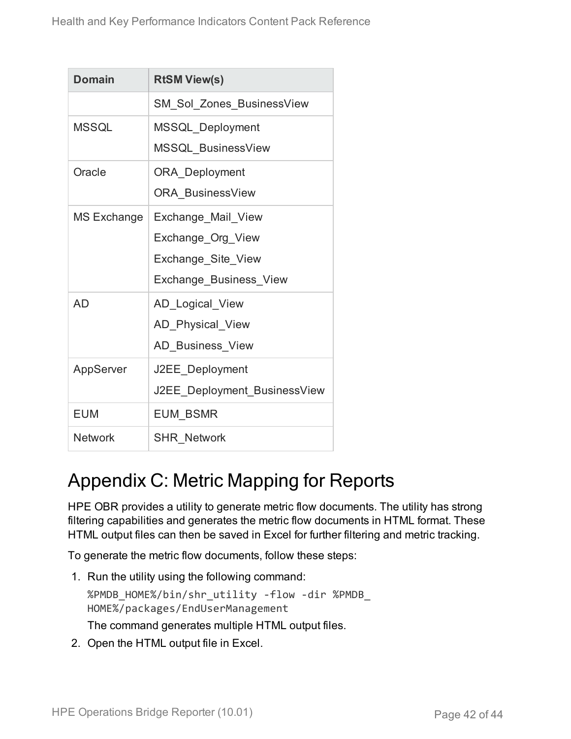| <b>Domain</b>  | <b>RtSM View(s)</b>              |
|----------------|----------------------------------|
|                | <b>SM_Sol_Zones_BusinessView</b> |
| <b>MSSQL</b>   | MSSQL_Deployment                 |
|                | MSSQL_BusinessView               |
| Oracle         | ORA_Deployment                   |
|                | <b>ORA BusinessView</b>          |
| MS Exchange    | Exchange_Mail_View               |
|                | Exchange Org View                |
|                | Exchange_Site_View               |
|                | Exchange_Business_View           |
| AD             | AD_Logical_View                  |
|                | AD Physical View                 |
|                | AD_Business_View                 |
| AppServer      | J2EE_Deployment                  |
|                | J2EE Deployment BusinessView     |
| <b>EUM</b>     | <b>EUM BSMR</b>                  |
| <b>Network</b> | <b>SHR Network</b>               |

### <span id="page-41-0"></span>Appendix C: Metric Mapping for Reports

HPE OBR provides a utility to generate metric flow documents. The utility has strong filtering capabilities and generates the metric flow documents in HTML format. These HTML output files can then be saved in Excel for further filtering and metric tracking.

To generate the metric flow documents, follow these steps:

1. Run the utility using the following command:

%PMDB\_HOME%/bin/shr\_utility -flow -dir %PMDB\_ HOME%/packages/EndUserManagement The command generates multiple HTML output files.

2. Open the HTML output file in Excel.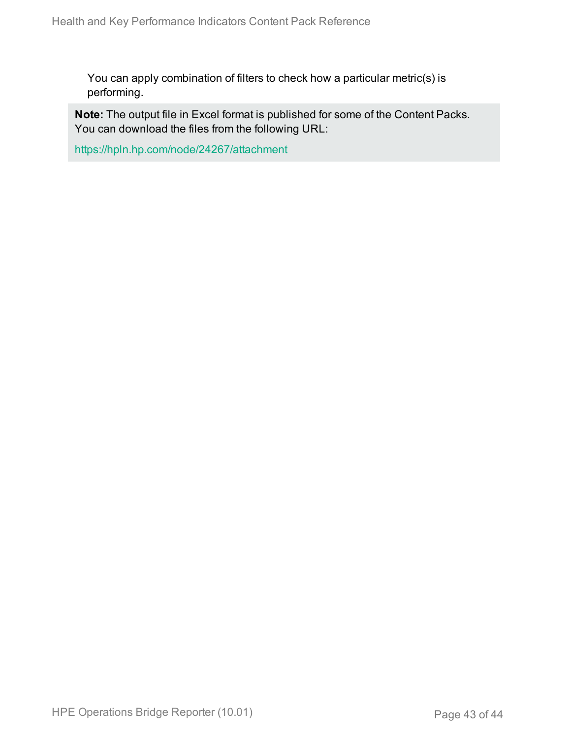You can apply combination of filters to check how a particular metric(s) is performing.

**Note:** The output file in Excel format is published for some of the Content Packs. You can download the files from the following URL:

<https://hpln.hp.com/node/24267/attachment>